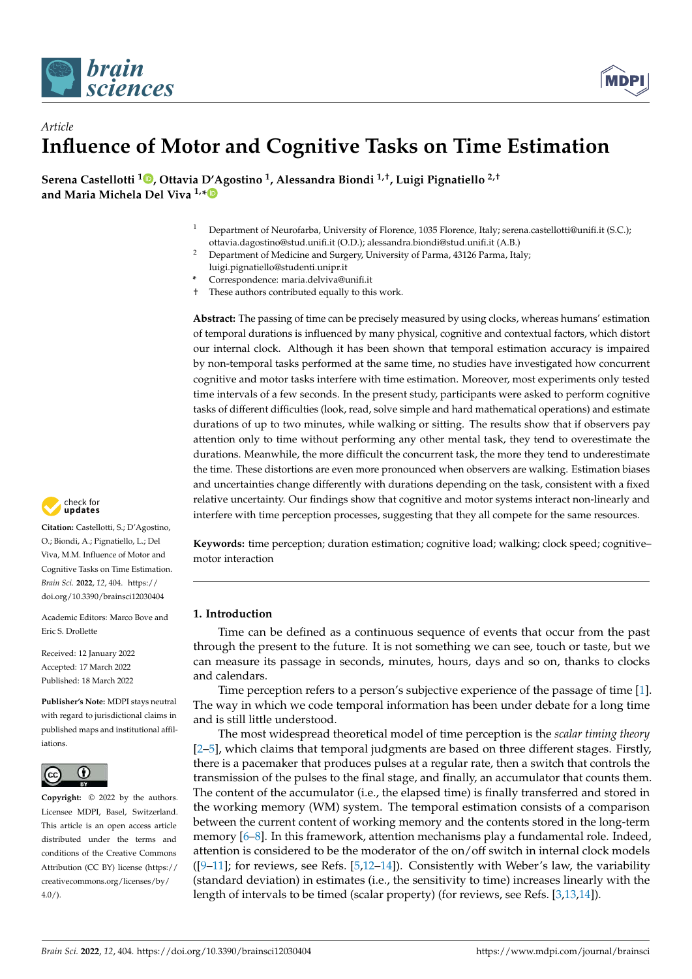



# *Article* **Influence of Motor and Cognitive Tasks on Time Estimation**

**Serena Castellotti <sup>1</sup> [,](https://orcid.org/0000-0001-8886-7861) Ottavia D'Agostino <sup>1</sup> , Alessandra Biondi 1,†, Luigi Pignatiello 2,† and Maria Michela Del Viva 1,[\\*](https://orcid.org/0000-0001-6332-4959)**

- <sup>1</sup> Department of Neurofarba, University of Florence, 1035 Florence, Italy; serena.castellotti@unifi.it (S.C.); ottavia.dagostino@stud.unifi.it (O.D.); alessandra.biondi@stud.unifi.it (A.B.)
- <sup>2</sup> Department of Medicine and Surgery, University of Parma, 43126 Parma, Italy;
- luigi.pignatiello@studenti.unipr.it
- **\*** Correspondence: maria.delviva@unifi.it † These authors contributed equally to this work.

**Abstract:** The passing of time can be precisely measured by using clocks, whereas humans' estimation of temporal durations is influenced by many physical, cognitive and contextual factors, which distort our internal clock. Although it has been shown that temporal estimation accuracy is impaired by non-temporal tasks performed at the same time, no studies have investigated how concurrent cognitive and motor tasks interfere with time estimation. Moreover, most experiments only tested time intervals of a few seconds. In the present study, participants were asked to perform cognitive tasks of different difficulties (look, read, solve simple and hard mathematical operations) and estimate durations of up to two minutes, while walking or sitting. The results show that if observers pay attention only to time without performing any other mental task, they tend to overestimate the durations. Meanwhile, the more difficult the concurrent task, the more they tend to underestimate the time. These distortions are even more pronounced when observers are walking. Estimation biases and uncertainties change differently with durations depending on the task, consistent with a fixed relative uncertainty. Our findings show that cognitive and motor systems interact non-linearly and interfere with time perception processes, suggesting that they all compete for the same resources.



**Citation:** Castellotti, S.; D'Agostino, O.; Biondi, A.; Pignatiello, L.; Del Viva, M.M. Influence of Motor and Cognitive Tasks on Time Estimation. *Brain Sci.* **2022**, *12*, 404. [https://](https://doi.org/10.3390/brainsci12030404) [doi.org/10.3390/brainsci12030404](https://doi.org/10.3390/brainsci12030404)

Academic Editors: Marco Bove and Eric S. Drollette

Received: 12 January 2022 Accepted: 17 March 2022 Published: 18 March 2022

**Publisher's Note:** MDPI stays neutral with regard to jurisdictional claims in published maps and institutional affiliations.



**Copyright:** © 2022 by the authors. Licensee MDPI, Basel, Switzerland. This article is an open access article distributed under the terms and conditions of the Creative Commons Attribution (CC BY) license [\(https://](https://creativecommons.org/licenses/by/4.0/) [creativecommons.org/licenses/by/](https://creativecommons.org/licenses/by/4.0/)  $4.0/$ ).

**Keywords:** time perception; duration estimation; cognitive load; walking; clock speed; cognitive– motor interaction

# **1. Introduction**

Time can be defined as a continuous sequence of events that occur from the past through the present to the future. It is not something we can see, touch or taste, but we can measure its passage in seconds, minutes, hours, days and so on, thanks to clocks and calendars.

Time perception refers to a person's subjective experience of the passage of time [\[1\]](#page-16-0). The way in which we code temporal information has been under debate for a long time and is still little understood.

The most widespread theoretical model of time perception is the *scalar timing theory* [\[2–](#page-16-1)[5\]](#page-16-2), which claims that temporal judgments are based on three different stages. Firstly, there is a pacemaker that produces pulses at a regular rate, then a switch that controls the transmission of the pulses to the final stage, and finally, an accumulator that counts them. The content of the accumulator (i.e., the elapsed time) is finally transferred and stored in the working memory (WM) system. The temporal estimation consists of a comparison between the current content of working memory and the contents stored in the long-term memory [\[6](#page-16-3)[–8\]](#page-16-4). In this framework, attention mechanisms play a fundamental role. Indeed, attention is considered to be the moderator of the on/off switch in internal clock models ( $[9-11]$  $[9-11]$ ; for reviews, see Refs.  $[5,12-14]$  $[5,12-14]$  $[5,12-14]$ ). Consistently with Weber's law, the variability (standard deviation) in estimates (i.e., the sensitivity to time) increases linearly with the length of intervals to be timed (scalar property) (for reviews, see Refs. [\[3](#page-16-9)[,13](#page-16-10)[,14\]](#page-16-8)).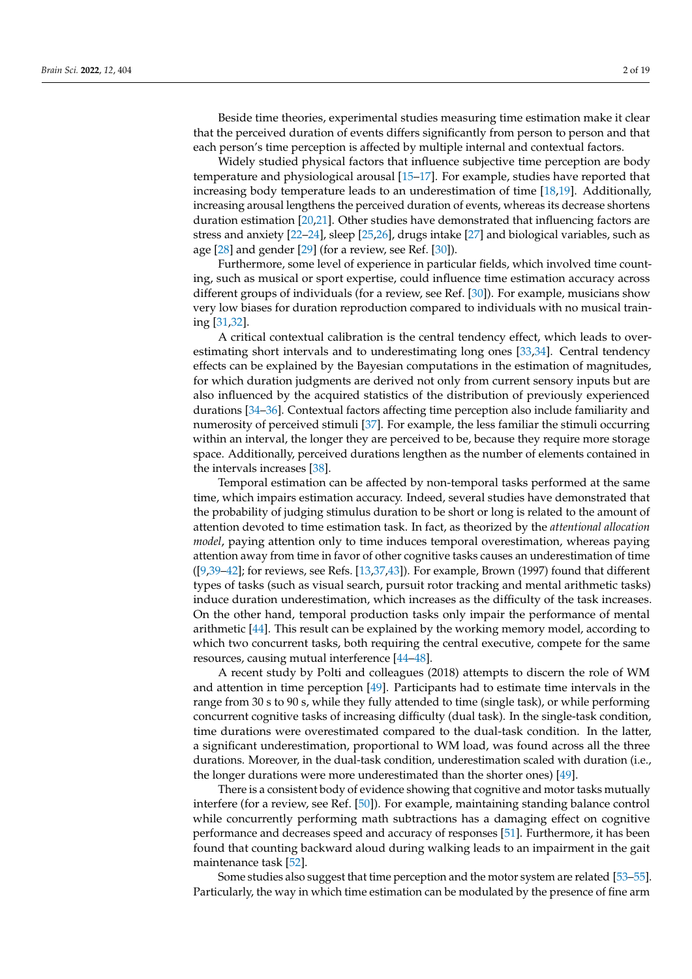Beside time theories, experimental studies measuring time estimation make it clear that the perceived duration of events differs significantly from person to person and that each person's time perception is affected by multiple internal and contextual factors.

Widely studied physical factors that influence subjective time perception are body temperature and physiological arousal [\[15–](#page-16-11)[17\]](#page-16-12). For example, studies have reported that increasing body temperature leads to an underestimation of time [\[18,](#page-16-13)[19\]](#page-16-14). Additionally, increasing arousal lengthens the perceived duration of events, whereas its decrease shortens duration estimation [\[20,](#page-16-15)[21\]](#page-16-16). Other studies have demonstrated that influencing factors are stress and anxiety [\[22](#page-17-0)[–24\]](#page-17-1), sleep [\[25,](#page-17-2)[26\]](#page-17-3), drugs intake [\[27\]](#page-17-4) and biological variables, such as age  $[28]$  and gender  $[29]$  (for a review, see Ref.  $[30]$ ).

Furthermore, some level of experience in particular fields, which involved time counting, such as musical or sport expertise, could influence time estimation accuracy across different groups of individuals (for a review, see Ref. [\[30\]](#page-17-7)). For example, musicians show very low biases for duration reproduction compared to individuals with no musical training [\[31](#page-17-8)[,32\]](#page-17-9).

A critical contextual calibration is the central tendency effect, which leads to overestimating short intervals and to underestimating long ones [\[33](#page-17-10)[,34\]](#page-17-11). Central tendency effects can be explained by the Bayesian computations in the estimation of magnitudes, for which duration judgments are derived not only from current sensory inputs but are also influenced by the acquired statistics of the distribution of previously experienced durations [\[34–](#page-17-11)[36\]](#page-17-12). Contextual factors affecting time perception also include familiarity and numerosity of perceived stimuli [\[37\]](#page-17-13). For example, the less familiar the stimuli occurring within an interval, the longer they are perceived to be, because they require more storage space. Additionally, perceived durations lengthen as the number of elements contained in the intervals increases [\[38\]](#page-17-14).

Temporal estimation can be affected by non-temporal tasks performed at the same time, which impairs estimation accuracy. Indeed, several studies have demonstrated that the probability of judging stimulus duration to be short or long is related to the amount of attention devoted to time estimation task. In fact, as theorized by the *attentional allocation model*, paying attention only to time induces temporal overestimation, whereas paying attention away from time in favor of other cognitive tasks causes an underestimation of time  $(59,39-42)$ ; for reviews, see Refs.  $[13,37,43]$  $[13,37,43]$  $[13,37,43]$ . For example, Brown (1997) found that different types of tasks (such as visual search, pursuit rotor tracking and mental arithmetic tasks) induce duration underestimation, which increases as the difficulty of the task increases. On the other hand, temporal production tasks only impair the performance of mental arithmetic [\[44\]](#page-17-18). This result can be explained by the working memory model, according to which two concurrent tasks, both requiring the central executive, compete for the same resources, causing mutual interference [\[44–](#page-17-18)[48\]](#page-17-19).

A recent study by Polti and colleagues (2018) attempts to discern the role of WM and attention in time perception [\[49\]](#page-17-20). Participants had to estimate time intervals in the range from 30 s to 90 s, while they fully attended to time (single task), or while performing concurrent cognitive tasks of increasing difficulty (dual task). In the single-task condition, time durations were overestimated compared to the dual-task condition. In the latter, a significant underestimation, proportional to WM load, was found across all the three durations. Moreover, in the dual-task condition, underestimation scaled with duration (i.e., the longer durations were more underestimated than the shorter ones) [\[49\]](#page-17-20).

There is a consistent body of evidence showing that cognitive and motor tasks mutually interfere (for a review, see Ref. [\[50\]](#page-17-21)). For example, maintaining standing balance control while concurrently performing math subtractions has a damaging effect on cognitive performance and decreases speed and accuracy of responses [\[51\]](#page-17-22). Furthermore, it has been found that counting backward aloud during walking leads to an impairment in the gait maintenance task [\[52\]](#page-17-23).

Some studies also suggest that time perception and the motor system are related [\[53–](#page-17-24)[55\]](#page-18-0). Particularly, the way in which time estimation can be modulated by the presence of fine arm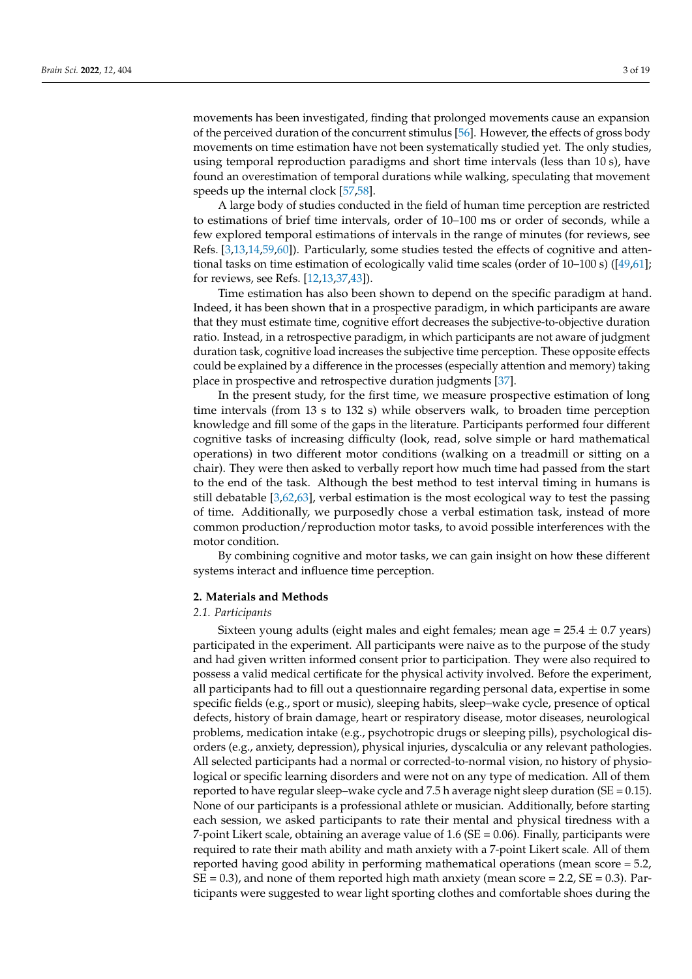movements has been investigated, finding that prolonged movements cause an expansion of the perceived duration of the concurrent stimulus [\[56\]](#page-18-1). However, the effects of gross body movements on time estimation have not been systematically studied yet. The only studies, using temporal reproduction paradigms and short time intervals (less than 10 s), have found an overestimation of temporal durations while walking, speculating that movement speeds up the internal clock [\[57,](#page-18-2)[58\]](#page-18-3).

A large body of studies conducted in the field of human time perception are restricted to estimations of brief time intervals, order of 10–100 ms or order of seconds, while a few explored temporal estimations of intervals in the range of minutes (for reviews, see Refs. [\[3,](#page-16-9)[13,](#page-16-10)[14,](#page-16-8)[59](#page-18-4)[,60\]](#page-18-5)). Particularly, some studies tested the effects of cognitive and attentional tasks on time estimation of ecologically valid time scales (order of 10–100 s) ([\[49](#page-17-20)[,61\]](#page-18-6); for reviews, see Refs. [\[12](#page-16-7)[,13](#page-16-10)[,37](#page-17-13)[,43\]](#page-17-17)).

Time estimation has also been shown to depend on the specific paradigm at hand. Indeed, it has been shown that in a prospective paradigm, in which participants are aware that they must estimate time, cognitive effort decreases the subjective-to-objective duration ratio. Instead, in a retrospective paradigm, in which participants are not aware of judgment duration task, cognitive load increases the subjective time perception. These opposite effects could be explained by a difference in the processes (especially attention and memory) taking place in prospective and retrospective duration judgments [\[37\]](#page-17-13).

In the present study, for the first time, we measure prospective estimation of long time intervals (from 13 s to 132 s) while observers walk, to broaden time perception knowledge and fill some of the gaps in the literature. Participants performed four different cognitive tasks of increasing difficulty (look, read, solve simple or hard mathematical operations) in two different motor conditions (walking on a treadmill or sitting on a chair). They were then asked to verbally report how much time had passed from the start to the end of the task. Although the best method to test interval timing in humans is still debatable [\[3,](#page-16-9)[62,](#page-18-7)[63\]](#page-18-8), verbal estimation is the most ecological way to test the passing of time. Additionally, we purposedly chose a verbal estimation task, instead of more common production/reproduction motor tasks, to avoid possible interferences with the motor condition.

By combining cognitive and motor tasks, we can gain insight on how these different systems interact and influence time perception.

#### **2. Materials and Methods**

#### *2.1. Participants*

Sixteen young adults (eight males and eight females; mean age =  $25.4 \pm 0.7$  years) participated in the experiment. All participants were naive as to the purpose of the study and had given written informed consent prior to participation. They were also required to possess a valid medical certificate for the physical activity involved. Before the experiment, all participants had to fill out a questionnaire regarding personal data, expertise in some specific fields (e.g., sport or music), sleeping habits, sleep–wake cycle, presence of optical defects, history of brain damage, heart or respiratory disease, motor diseases, neurological problems, medication intake (e.g., psychotropic drugs or sleeping pills), psychological disorders (e.g., anxiety, depression), physical injuries, dyscalculia or any relevant pathologies. All selected participants had a normal or corrected-to-normal vision, no history of physiological or specific learning disorders and were not on any type of medication. All of them reported to have regular sleep–wake cycle and 7.5 h average night sleep duration ( $SE = 0.15$ ). None of our participants is a professional athlete or musician. Additionally, before starting each session, we asked participants to rate their mental and physical tiredness with a 7-point Likert scale, obtaining an average value of  $1.6$  (SE = 0.06). Finally, participants were required to rate their math ability and math anxiety with a 7-point Likert scale. All of them reported having good ability in performing mathematical operations (mean score = 5.2,  $SE = 0.3$ ), and none of them reported high math anxiety (mean score = 2.2,  $SE = 0.3$ ). Participants were suggested to wear light sporting clothes and comfortable shoes during the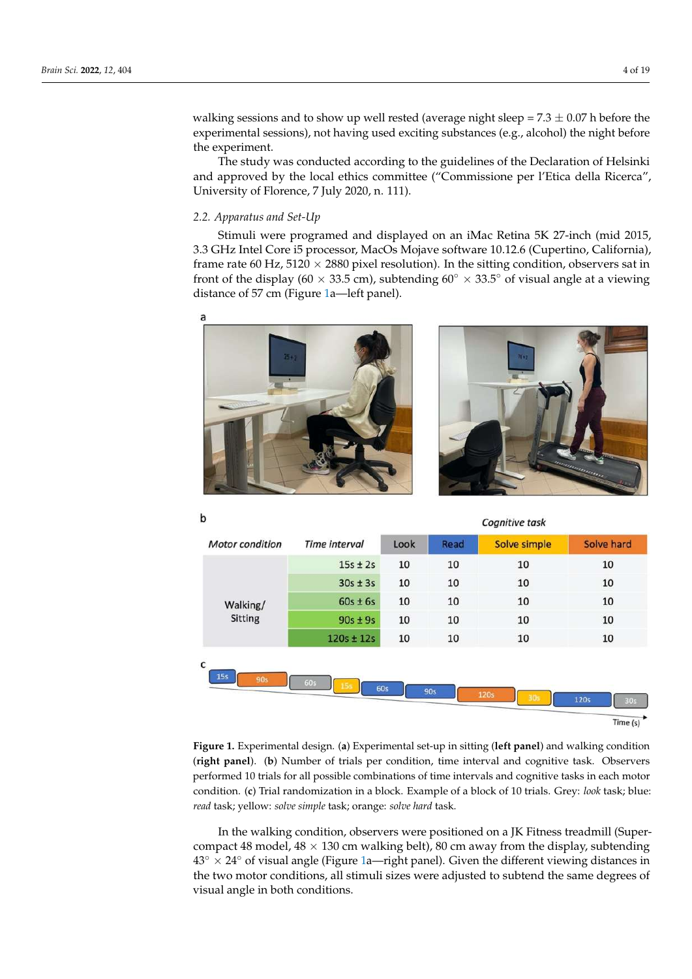walking sessions and to show up well rested (average night sleep =  $7.3 \pm 0.07$  h before the experimental sessions), not having used exciting substances (e.g., alcohol) the night before the experiment.

The study was conducted according to the guidelines of the Declaration of Helsinki and approved by the local ethics committee ("Commissione per l'Etica della Ricerca", University of Florence, 7 July 2020, n. 111).

#### *2.2. Apparatus and Set-Up*

b

Stimuli were programed and displayed on an iMac Retina 5K 27-inch (mid 2015, 3.3 GHz Intel Core i5 processor, MacOs Mojave software 10.12.6 (Cupertino, California), frame rate 60 Hz,  $5120 \times 2880$  pixel resolution). In the sitting condition, observers sat in front of the display (60 × 33.5 cm), subtending 60 $\degree$  × 33.5 $\degree$  of visual angle at a viewing distance of 57 cm (Figure [1a](#page-3-0)—left panel).

<span id="page-3-0"></span>

|               | <b>CONTROLLED</b> |      |              |            |  |
|---------------|-------------------|------|--------------|------------|--|
| Time interval | Look              | Read | Solve simple | Solve hard |  |
| $15s \pm 2s$  | 10                | 10   | 10           | 10         |  |
| $30s \pm 3s$  | 10                | 10   | 10           | 10         |  |
| $60s \pm 6s$  | 10                | 10   | 10           | 10         |  |
| $90s \pm 9s$  | 10                | 10   | 10           | 10         |  |
| $120s + 12s$  | 10                | 10   | 10           | 10         |  |
|               |                   |      |              |            |  |

Cognitive tack

**Figure 1.** Experimental design. (**a**) Experimental set-up in sitting (**left panel**) and walking condition (**right panel**). (**b**) Number of trials per condition, time interval and cognitive task. Observers performed 10 trials for all possible combinations of time intervals and cognitive tasks in each motor condition. (**c**) Trial randomization in a block. Example of a block of 10 trials. Grey: *look* task; blue: *read* task; yellow: *solve simple* task; orange: *solve hard* task.

In the walking condition, observers were positioned on a JK Fitness treadmill (Supercompact 48 model,  $48 \times 130$  cm walking belt), 80 cm away from the display, subtending  $43° \times 24°$  of visual angle (Figure [1a](#page-3-0)—right panel). Given the different viewing distances in the two motor conditions, all stimuli sizes were adjusted to subtend the same degrees of visual angle in both conditions.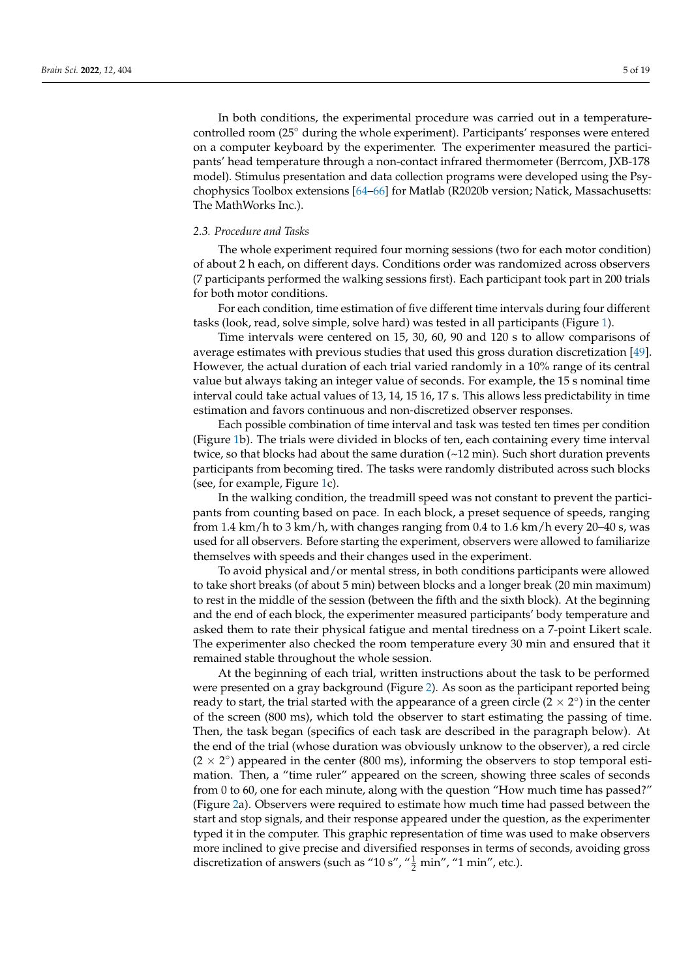In both conditions, the experimental procedure was carried out in a temperaturecontrolled room (25◦ during the whole experiment). Participants' responses were entered on a computer keyboard by the experimenter. The experimenter measured the participants' head temperature through a non-contact infrared thermometer (Berrcom, JXB-178 model). Stimulus presentation and data collection programs were developed using the Psychophysics Toolbox extensions [\[64](#page-18-9)[–66\]](#page-18-10) for Matlab (R2020b version; Natick, Massachusetts: The MathWorks Inc.).

#### *2.3. Procedure and Tasks*

The whole experiment required four morning sessions (two for each motor condition) of about 2 h each, on different days. Conditions order was randomized across observers (7 participants performed the walking sessions first). Each participant took part in 200 trials for both motor conditions.

For each condition, time estimation of five different time intervals during four different tasks (look, read, solve simple, solve hard) was tested in all participants (Figure [1\)](#page-3-0).

Time intervals were centered on 15, 30, 60, 90 and 120 s to allow comparisons of average estimates with previous studies that used this gross duration discretization [\[49\]](#page-17-20). However, the actual duration of each trial varied randomly in a 10% range of its central value but always taking an integer value of seconds. For example, the 15 s nominal time interval could take actual values of 13, 14, 15 16, 17 s. This allows less predictability in time estimation and favors continuous and non-discretized observer responses.

Each possible combination of time interval and task was tested ten times per condition (Figure [1b](#page-3-0)). The trials were divided in blocks of ten, each containing every time interval twice, so that blocks had about the same duration  $(\sim 12 \text{ min})$ . Such short duration prevents participants from becoming tired. The tasks were randomly distributed across such blocks (see, for example, Figure [1c](#page-3-0)).

In the walking condition, the treadmill speed was not constant to prevent the participants from counting based on pace. In each block, a preset sequence of speeds, ranging from 1.4 km/h to 3 km/h, with changes ranging from 0.4 to 1.6 km/h every 20–40 s, was used for all observers. Before starting the experiment, observers were allowed to familiarize themselves with speeds and their changes used in the experiment.

To avoid physical and/or mental stress, in both conditions participants were allowed to take short breaks (of about 5 min) between blocks and a longer break (20 min maximum) to rest in the middle of the session (between the fifth and the sixth block). At the beginning and the end of each block, the experimenter measured participants' body temperature and asked them to rate their physical fatigue and mental tiredness on a 7-point Likert scale. The experimenter also checked the room temperature every 30 min and ensured that it remained stable throughout the whole session.

At the beginning of each trial, written instructions about the task to be performed were presented on a gray background (Figure [2\)](#page-5-0). As soon as the participant reported being ready to start, the trial started with the appearance of a green circle ( $2 \times 2^{\circ}$ ) in the center of the screen (800 ms), which told the observer to start estimating the passing of time. Then, the task began (specifics of each task are described in the paragraph below). At the end of the trial (whose duration was obviously unknow to the observer), a red circle  $(2 \times 2^{\circ})$  appeared in the center (800 ms), informing the observers to stop temporal estimation. Then, a "time ruler" appeared on the screen, showing three scales of seconds from 0 to 60, one for each minute, along with the question "How much time has passed?" (Figure [2a](#page-5-0)). Observers were required to estimate how much time had passed between the start and stop signals, and their response appeared under the question, as the experimenter typed it in the computer. This graphic representation of time was used to make observers more inclined to give precise and diversified responses in terms of seconds, avoiding gross discretization of answers (such as "10 s", " $\frac{1}{2}$  min", "1 min", etc.).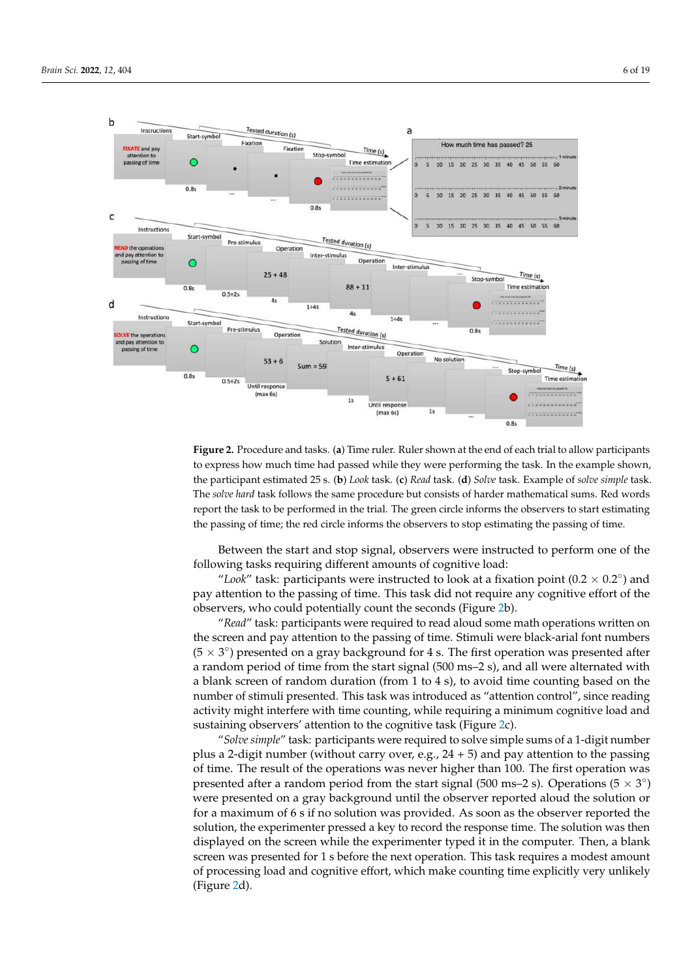<span id="page-5-0"></span>

**Figure 2.** Procedure and tasks. (**a**) Time ruler. Ruler shown at the end of each trial to allow participants to express how much time had passed while they were performing the task. In the example shown, the participant estimated 25 s. (**b**) *Look* task. (**c**) *Read* task. (**d**) *Solve* task. Example of *solve simple* task. The *solve hard* task follows the same procedure but consists of harder mathematical sums. Red words report the task to be performed in the trial. The green circle informs the observers to start estimating the passing of time; the red circle informs the observers to stop estimating the passing of time.

Between the start and stop signal, observers were instructed to perform one of the following tasks requiring different amounts of cognitive load:

"Look" task: participants were instructed to look at a fixation point ( $0.2 \times 0.2$ °) and pay attention to the passing of time. This task did not require any cognitive effort of the observers, who could potentially count the seconds (Figure [2b](#page-5-0)).

"*Read*" task: participants were required to read aloud some math operations written on the screen and pay attention to the passing of time. Stimuli were black-arial font numbers  $(5 \times 3^{\circ})$  presented on a gray background for 4 s. The first operation was presented after a random period of time from the start signal (500 ms–2 s), and all were alternated with a blank screen of random duration (from 1 to 4 s), to avoid time counting based on the number of stimuli presented. This task was introduced as "attention control", since reading activity might interfere with time counting, while requiring a minimum cognitive load and sustaining observers' attention to the cognitive task (Figure [2c](#page-5-0)).

"*Solve simple*" task: participants were required to solve simple sums of a 1-digit number plus a 2-digit number (without carry over, e.g.,  $24 + 5$ ) and pay attention to the passing of time. The result of the operations was never higher than 100. The first operation was presented after a random period from the start signal (500 ms–2 s). Operations (5  $\times$  3°) were presented on a gray background until the observer reported aloud the solution or for a maximum of 6 s if no solution was provided. As soon as the observer reported the solution, the experimenter pressed a key to record the response time. The solution was then displayed on the screen while the experimenter typed it in the computer. Then, a blank screen was presented for 1 s before the next operation. This task requires a modest amount of processing load and cognitive effort, which make counting time explicitly very unlikely (Figure [2d](#page-5-0)).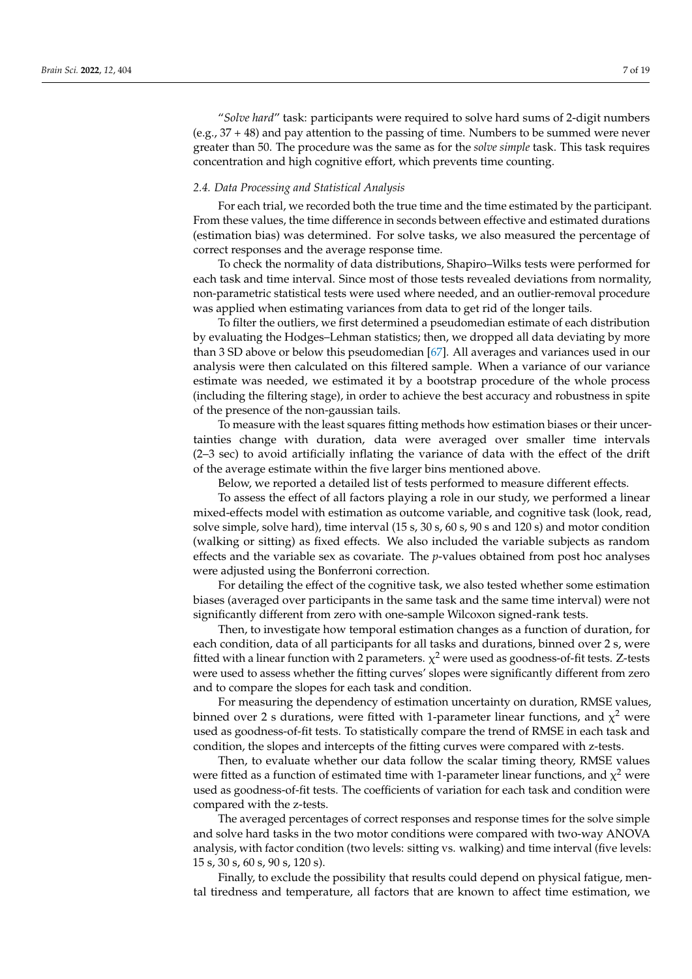"*Solve hard*" task: participants were required to solve hard sums of 2-digit numbers (e.g., 37 + 48) and pay attention to the passing of time. Numbers to be summed were never greater than 50. The procedure was the same as for the *solve simple* task. This task requires concentration and high cognitive effort, which prevents time counting.

### <span id="page-6-0"></span>*2.4. Data Processing and Statistical Analysis*

For each trial, we recorded both the true time and the time estimated by the participant. From these values, the time difference in seconds between effective and estimated durations (estimation bias) was determined. For solve tasks, we also measured the percentage of correct responses and the average response time.

To check the normality of data distributions, Shapiro–Wilks tests were performed for each task and time interval. Since most of those tests revealed deviations from normality, non-parametric statistical tests were used where needed, and an outlier-removal procedure was applied when estimating variances from data to get rid of the longer tails.

To filter the outliers, we first determined a pseudomedian estimate of each distribution by evaluating the Hodges–Lehman statistics; then, we dropped all data deviating by more than 3 SD above or below this pseudomedian [\[67\]](#page-18-11). All averages and variances used in our analysis were then calculated on this filtered sample. When a variance of our variance estimate was needed, we estimated it by a bootstrap procedure of the whole process (including the filtering stage), in order to achieve the best accuracy and robustness in spite of the presence of the non-gaussian tails.

To measure with the least squares fitting methods how estimation biases or their uncertainties change with duration, data were averaged over smaller time intervals (2–3 sec) to avoid artificially inflating the variance of data with the effect of the drift of the average estimate within the five larger bins mentioned above.

Below, we reported a detailed list of tests performed to measure different effects.

To assess the effect of all factors playing a role in our study, we performed a linear mixed-effects model with estimation as outcome variable, and cognitive task (look, read, solve simple, solve hard), time interval (15 s, 30 s, 60 s, 90 s and 120 s) and motor condition (walking or sitting) as fixed effects. We also included the variable subjects as random effects and the variable sex as covariate. The *p*-values obtained from post hoc analyses were adjusted using the Bonferroni correction.

For detailing the effect of the cognitive task, we also tested whether some estimation biases (averaged over participants in the same task and the same time interval) were not significantly different from zero with one-sample Wilcoxon signed-rank tests.

Then, to investigate how temporal estimation changes as a function of duration, for each condition, data of all participants for all tasks and durations, binned over 2 s, were fitted with a linear function with 2 parameters.  $\chi^2$  were used as goodness-of-fit tests. Z-tests were used to assess whether the fitting curves' slopes were significantly different from zero and to compare the slopes for each task and condition.

For measuring the dependency of estimation uncertainty on duration, RMSE values, binned over 2 s durations, were fitted with 1-parameter linear functions, and  $\chi^2$  were used as goodness-of-fit tests. To statistically compare the trend of RMSE in each task and condition, the slopes and intercepts of the fitting curves were compared with z-tests.

Then, to evaluate whether our data follow the scalar timing theory, RMSE values were fitted as a function of estimated time with 1-parameter linear functions, and  $\chi^2$  were used as goodness-of-fit tests. The coefficients of variation for each task and condition were compared with the z-tests.

The averaged percentages of correct responses and response times for the solve simple and solve hard tasks in the two motor conditions were compared with two-way ANOVA analysis, with factor condition (two levels: sitting vs. walking) and time interval (five levels: 15 s, 30 s, 60 s, 90 s, 120 s).

Finally, to exclude the possibility that results could depend on physical fatigue, mental tiredness and temperature, all factors that are known to affect time estimation, we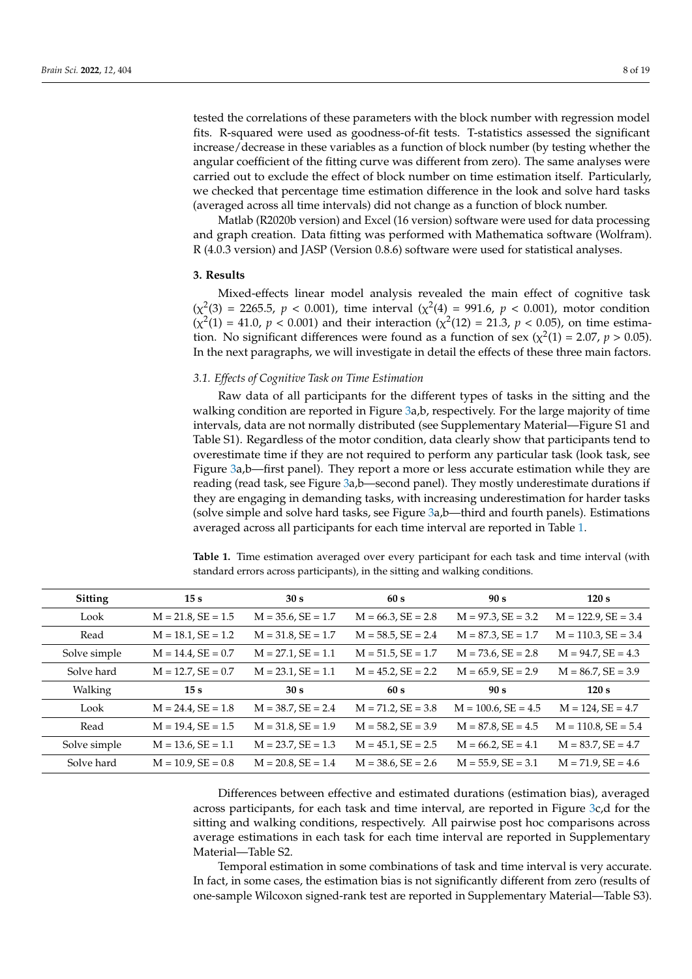tested the correlations of these parameters with the block number with regression model fits. R-squared were used as goodness-of-fit tests. T-statistics assessed the significant increase/decrease in these variables as a function of block number (by testing whether the angular coefficient of the fitting curve was different from zero). The same analyses were carried out to exclude the effect of block number on time estimation itself. Particularly, we checked that percentage time estimation difference in the look and solve hard tasks (averaged across all time intervals) did not change as a function of block number.

Matlab (R2020b version) and Excel (16 version) software were used for data processing and graph creation. Data fitting was performed with Mathematica software (Wolfram). R (4.0.3 version) and JASP (Version 0.8.6) software were used for statistical analyses.

# **3. Results**

Mixed-effects linear model analysis revealed the main effect of cognitive task  $(\chi^2(3) = 2265.5, p < 0.001)$ , time interval  $(\chi^2(4) = 991.6, p < 0.001)$ , motor condition  $(\chi^2(1) = 41.0, p < 0.001)$  and their interaction  $(\chi^2(12) = 21.3, p < 0.05)$ , on time estimation. No significant differences were found as a function of sex ( $\chi^2(1) = 2.07$ ,  $p > 0.05$ ). In the next paragraphs, we will investigate in detail the effects of these three main factors.

## *3.1. Effects of Cognitive Task on Time Estimation*

Raw data of all participants for the different types of tasks in the sitting and the walking condition are reported in Figure [3a](#page-8-0),b, respectively. For the large majority of time intervals, data are not normally distributed (see Supplementary Material—Figure S1 and Table S1). Regardless of the motor condition, data clearly show that participants tend to overestimate time if they are not required to perform any particular task (look task, see Figure [3a](#page-8-0),b—first panel). They report a more or less accurate estimation while they are reading (read task, see Figure [3a](#page-8-0),b—second panel). They mostly underestimate durations if they are engaging in demanding tasks, with increasing underestimation for harder tasks (solve simple and solve hard tasks, see Figure [3a](#page-8-0),b—third and fourth panels). Estimations averaged across all participants for each time interval are reported in Table [1.](#page-7-0)

| <b>Sitting</b> | 15 <sub>s</sub>         | 30 s                    | 60s                     | 90 s                     | 120 s                    |
|----------------|-------------------------|-------------------------|-------------------------|--------------------------|--------------------------|
| Look           | $M = 21.8$ , $SE = 1.5$ | $M = 35.6$ , $SE = 1.7$ | $M = 66.3$ , $SE = 2.8$ | $M = 97.3$ , $SE = 3.2$  | $M = 122.9$ , $SE = 3.4$ |
| Read           | $M = 18.1, SE = 1.2$    | $M = 31.8$ , $SE = 1.7$ | $M = 58.5$ , $SE = 2.4$ | $M = 87.3$ , $SE = 1.7$  | $M = 110.3$ , SE = 3.4   |
| Solve simple   | $M = 14.4, SE = 0.7$    | $M = 27.1$ , $SE = 1.1$ | $M = 51.5$ , $SE = 1.7$ | $M = 73.6$ , $SE = 2.8$  | $M = 94.7$ , $SE = 4.3$  |
| Solve hard     | $M = 12.7$ , $SE = 0.7$ | $M = 23.1$ , $SE = 1.1$ | $M = 45.2, SE = 2.2$    | $M = 65.9$ , $SE = 2.9$  | $M = 86.7$ , $SE = 3.9$  |
| Walking        | 15 <sub>s</sub>         | 30 s                    | 60s                     | 90 s                     | 120 s                    |
| Look           | $M = 24.4, SE = 1.8$    | $M = 38.7$ , $SE = 2.4$ | $M = 71.2$ , $SE = 3.8$ | $M = 100.6$ , $SE = 4.5$ | $M = 124$ , $SE = 4.7$   |
| Read           | $M = 19.4, SE = 1.5$    | $M = 31.8, SE = 1.9$    | $M = 58.2, SE = 3.9$    | $M = 87.8$ , SE = 4.5    | $M = 110.8, SE = 5.4$    |
| Solve simple   | $M = 13.6$ , $SE = 1.1$ | $M = 23.7$ , $SE = 1.3$ | $M = 45.1$ , $SE = 2.5$ | $M = 66.2$ , $SE = 4.1$  | $M = 83.7$ , $SE = 4.7$  |
| Solve hard     | $M = 10.9$ , $SE = 0.8$ | $M = 20.8$ , SE = 1.4   | $M = 38.6$ , $SE = 2.6$ | $M = 55.9$ , $SE = 3.1$  | $M = 71.9$ , $SE = 4.6$  |

<span id="page-7-0"></span>**Table 1.** Time estimation averaged over every participant for each task and time interval (with standard errors across participants), in the sitting and walking conditions.

Differences between effective and estimated durations (estimation bias), averaged across participants, for each task and time interval, are reported in Figure [3c](#page-8-0),d for the sitting and walking conditions, respectively. All pairwise post hoc comparisons across average estimations in each task for each time interval are reported in Supplementary Material—Table S2.

Temporal estimation in some combinations of task and time interval is very accurate. In fact, in some cases, the estimation bias is not significantly different from zero (results of one-sample Wilcoxon signed-rank test are reported in Supplementary Material—Table S3).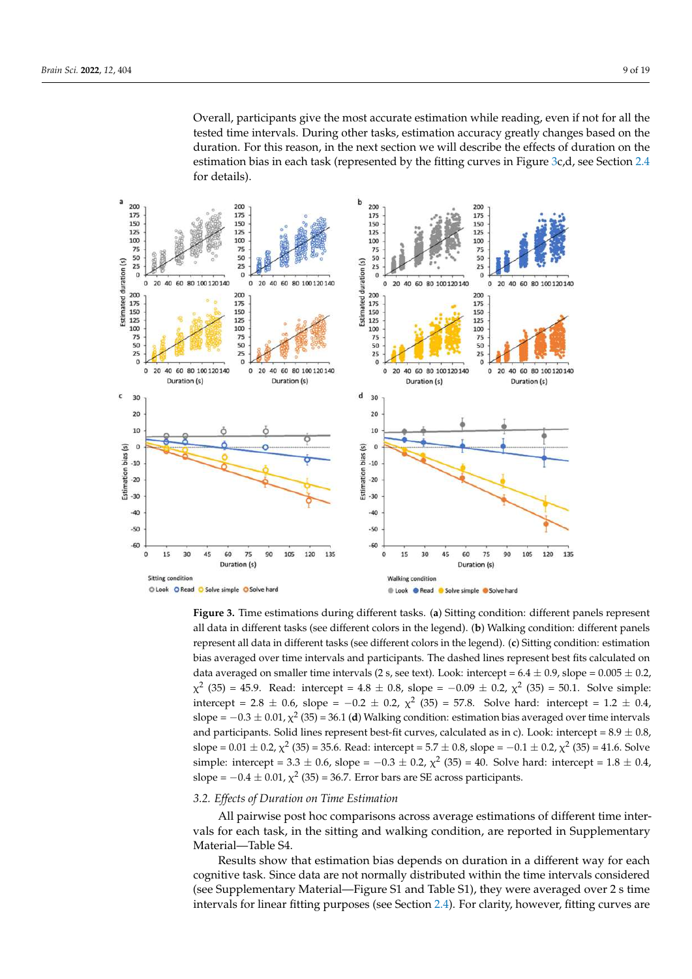<span id="page-8-0"></span>Overall, participants give the most accurate estimation while reading, even if not for all the tested time intervals. During other tasks, estimation accuracy greatly changes based on the duration. For this reason, in the next section we will describe the effects of duration on the estimation bias in each task (represented by the fitting curves in Figure [3c](#page-8-0),d, see Section [2.4](#page-6-0) for details).



**Figure 3.** Time estimations during different tasks. (**a**) Sitting condition: different panels represent all data in different tasks (see different colors in the legend). (**b**) Walking condition: different panels represent all data in different tasks (see different colors in the legend). (**c**) Sitting condition: estimation bias averaged over time intervals and participants. The dashed lines represent best fits calculated on data averaged on smaller time intervals (2 s, see text). Look: intercept =  $6.4 \pm 0.9$ , slope =  $0.005 \pm 0.2$ ,  $\chi^2$  (35) = 45.9. Read: intercept = 4.8  $\pm$  0.8, slope = -0.09  $\pm$  0.2,  $\chi^2$  (35) = 50.1. Solve simple: intercept = 2.8  $\pm$  0.6, slope = -0.2  $\pm$  0.2,  $\chi^2$  (35) = 57.8. Solve hard: intercept = 1.2  $\pm$  0.4, slope =  $-0.3 \pm 0.01$ ,  $\chi^2$  (35) = 36.1 **(d**) Walking condition: estimation bias averaged over time intervals and participants. Solid lines represent best-fit curves, calculated as in c). Look: intercept =  $8.9 \pm 0.8$ , slope =  $0.01 \pm 0.2$ ,  $\chi^2$  (35) = 35.6. Read: intercept = 5.7  $\pm$  0.8, slope =  $-0.1 \pm 0.2$ ,  $\chi^2$  (35) = 41.6. Solve simple: intercept = 3.3  $\pm$  0.6, slope = -0.3  $\pm$  0.2,  $\chi^2$  (35) = 40. Solve hard: intercept = 1.8  $\pm$  0.4, slope =  $-0.4 \pm 0.01$ ,  $\chi^2$  (35) = 36.7. Error bars are SE across participants.

## *3.2. Effects of Duration on Time Estimation*

All pairwise post hoc comparisons across average estimations of different time intervals for each task, in the sitting and walking condition, are reported in Supplementary Material—Table S4.

Results show that estimation bias depends on duration in a different way for each cognitive task. Since data are not normally distributed within the time intervals considered (see Supplementary Material—Figure S1 and Table S1), they were averaged over 2 s time intervals for linear fitting purposes (see Section [2.4\)](#page-6-0). For clarity, however, fitting curves are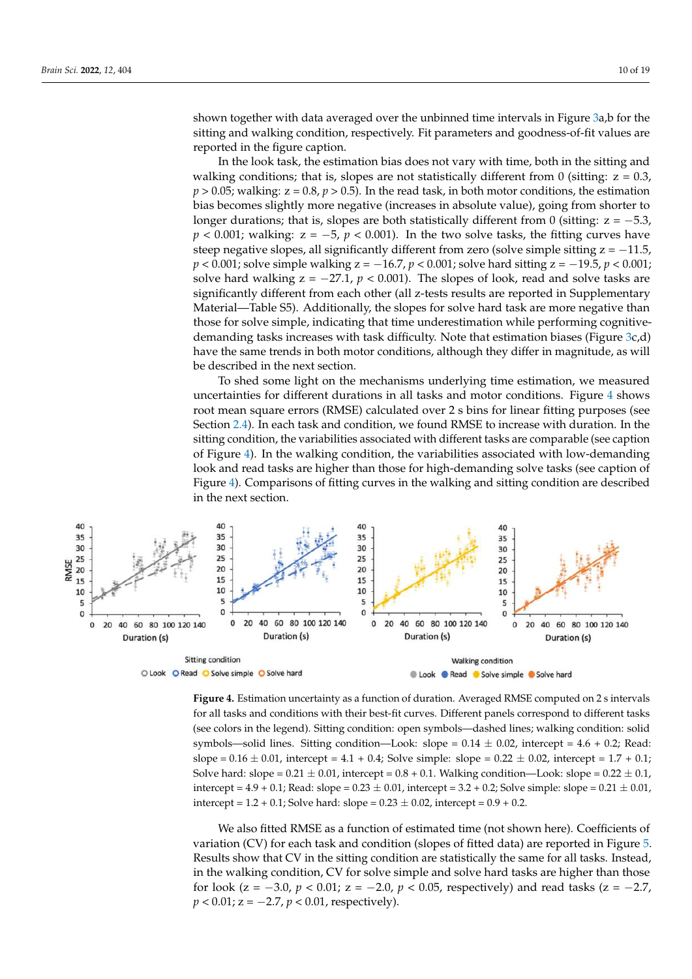shown together with data averaged over the unbinned time intervals in Figure [3a](#page-8-0),b for the sitting and walking condition, respectively. Fit parameters and goodness-of-fit values are reported in the figure caption.

In the look task, the estimation bias does not vary with time, both in the sitting and walking conditions; that is, slopes are not statistically different from 0 (sitting:  $z = 0.3$ ,  $p > 0.05$ ; walking:  $z = 0.8$ ,  $p > 0.5$ ). In the read task, in both motor conditions, the estimation bias becomes slightly more negative (increases in absolute value), going from shorter to longer durations; that is, slopes are both statistically different from 0 (sitting:  $z = -5.3$ ,  $p < 0.001$ ; walking:  $z = -5$ ,  $p < 0.001$ ). In the two solve tasks, the fitting curves have steep negative slopes, all significantly different from zero (solve simple sitting  $z = -11.5$ , *p* < 0.001; solve simple walking z = −16.7, *p* < 0.001; solve hard sitting z = −19.5, *p* < 0.001; solve hard walking  $z = -27.1$ ,  $p < 0.001$ ). The slopes of look, read and solve tasks are significantly different from each other (all z-tests results are reported in Supplementary Material—Table S5). Additionally, the slopes for solve hard task are more negative than those for solve simple, indicating that time underestimation while performing cognitivedemanding tasks increases with task difficulty. Note that estimation biases (Figure [3c](#page-8-0),d) have the same trends in both motor conditions, although they differ in magnitude, as will be described in the next section.

<span id="page-9-0"></span>To shed some light on the mechanisms underlying time estimation, we measured uncertainties for different durations in all tasks and motor conditions. Figure [4](#page-9-0) shows root mean square errors (RMSE) calculated over 2 s bins for linear fitting purposes (see Section [2.4\)](#page-6-0). In each task and condition, we found RMSE to increase with duration. In the sitting condition, the variabilities associated with different tasks are comparable (see caption of Figure [4\)](#page-9-0). In the walking condition, the variabilities associated with low-demanding look and read tasks are higher than those for high-demanding solve tasks (see caption of Figure [4\)](#page-9-0). Comparisons of fitting curves in the walking and sitting condition are described in the next section.



**Figure 4.** Estimation uncertainty as a function of duration. Averaged RMSE computed on 2 s intervals for all tasks and conditions with their best-fit curves. Different panels correspond to different tasks (see colors in the legend). Sitting condition: open symbols—dashed lines; walking condition: solid symbols—solid lines. Sitting condition—Look: slope =  $0.14 \pm 0.02$ , intercept =  $4.6 + 0.2$ ; Read: slope =  $0.16 \pm 0.01$ , intercept =  $4.1 + 0.4$ ; Solve simple: slope =  $0.22 \pm 0.02$ , intercept =  $1.7 + 0.1$ ; Solve hard: slope =  $0.21 \pm 0.01$ , intercept =  $0.8 + 0.1$ . Walking condition—Look: slope =  $0.22 \pm 0.1$ , intercept =  $4.9 + 0.1$ ; Read: slope =  $0.23 \pm 0.01$ , intercept =  $3.2 + 0.2$ ; Solve simple: slope =  $0.21 \pm 0.01$ , intercept =  $1.2 + 0.1$ ; Solve hard: slope =  $0.23 \pm 0.02$ , intercept =  $0.9 + 0.2$ .

We also fitted RMSE as a function of estimated time (not shown here). Coefficients of variation (CV) for each task and condition (slopes of fitted data) are reported in Figure [5.](#page-10-0) Results show that CV in the sitting condition are statistically the same for all tasks. Instead, in the walking condition, CV for solve simple and solve hard tasks are higher than those for look ( $z = -3.0$ ,  $p < 0.01$ ;  $z = -2.0$ ,  $p < 0.05$ , respectively) and read tasks ( $z = -2.7$ , *p* < 0.01; *z* = −2.7, *p* < 0.01, respectively).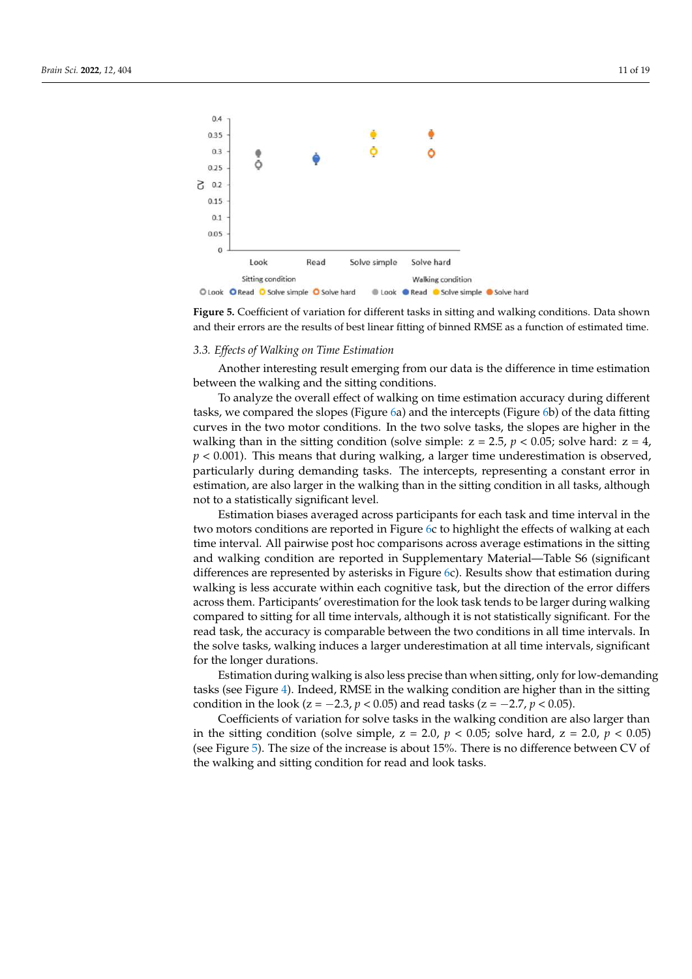<span id="page-10-0"></span>

**Figure 5.** Coefficient of variation for different tasks in sitting and walking conditions. Data shown and their errors are the results of best linear fitting of binned RMSE as a function of estimated time.

#### *3.3. Effects of Walking on Time Estimation*

Another interesting result emerging from our data is the difference in time estimation between the walking and the sitting conditions.

To analyze the overall effect of walking on time estimation accuracy during different tasks, we compared the slopes (Figure [6a](#page-11-0)) and the intercepts (Figure [6b](#page-11-0)) of the data fitting curves in the two motor conditions. In the two solve tasks, the slopes are higher in the walking than in the sitting condition (solve simple:  $z = 2.5$ ,  $p < 0.05$ ; solve hard:  $z = 4$ , *p* < 0.001). This means that during walking, a larger time underestimation is observed, particularly during demanding tasks. The intercepts, representing a constant error in estimation, are also larger in the walking than in the sitting condition in all tasks, although not to a statistically significant level.

Estimation biases averaged across participants for each task and time interval in the two motors conditions are reported in Figure [6c](#page-11-0) to highlight the effects of walking at each time interval. All pairwise post hoc comparisons across average estimations in the sitting and walking condition are reported in Supplementary Material—Table S6 (significant differences are represented by asterisks in Figure [6c](#page-11-0)). Results show that estimation during walking is less accurate within each cognitive task, but the direction of the error differs across them. Participants' overestimation for the look task tends to be larger during walking compared to sitting for all time intervals, although it is not statistically significant. For the read task, the accuracy is comparable between the two conditions in all time intervals. In the solve tasks, walking induces a larger underestimation at all time intervals, significant for the longer durations.

Estimation during walking is also less precise than when sitting, only for low-demanding tasks (see Figure [4\)](#page-9-0). Indeed, RMSE in the walking condition are higher than in the sitting condition in the look ( $z = -2.3$ ,  $p < 0.05$ ) and read tasks ( $z = -2.7$ ,  $p < 0.05$ ).

Coefficients of variation for solve tasks in the walking condition are also larger than in the sitting condition (solve simple,  $z = 2.0$ ,  $p < 0.05$ ; solve hard,  $z = 2.0$ ,  $p < 0.05$ ) (see Figure [5\)](#page-10-0). The size of the increase is about 15%. There is no difference between CV of the walking and sitting condition for read and look tasks.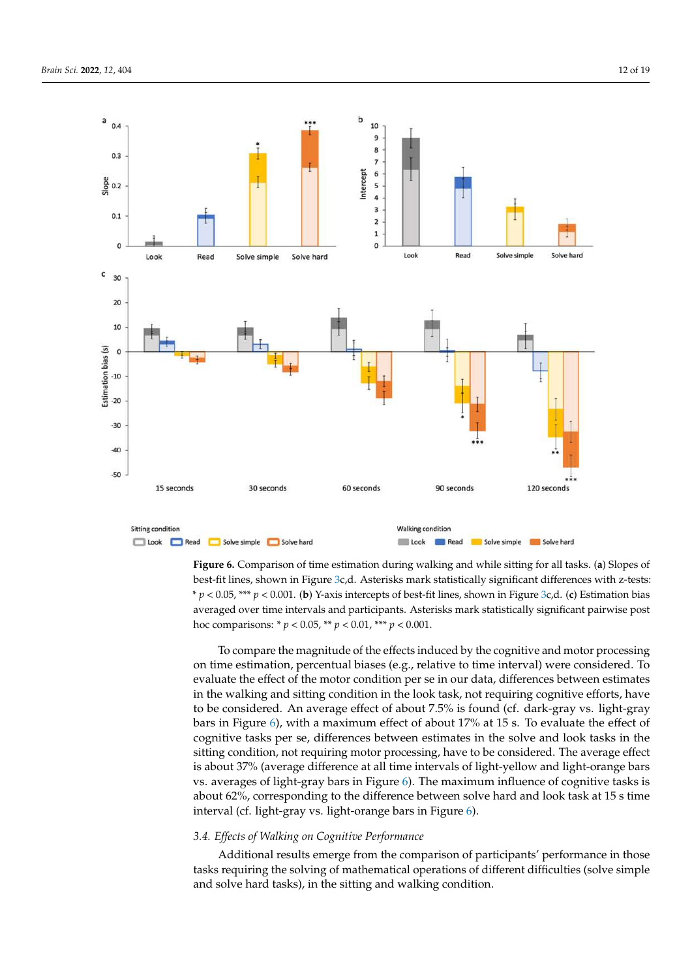<span id="page-11-0"></span>

**Figure 6.** Comparison of time estimation during walking and while sitting for all tasks. (**a**) Slopes of best-fit lines, shown in Figure [3c](#page-8-0),d. Asterisks mark statistically significant differences with z-tests: \* *p* < 0.05, \*\*\* *p* < 0.001. (**b**) Y-axis intercepts of best-fit lines, shown in Figure [3c](#page-8-0),d. (**c**) Estimation bias averaged over time intervals and participants. Asterisks mark statistically significant pairwise post hoc comparisons: \* *p* < 0.05, \*\* *p* < 0.01, \*\*\* *p* < 0.001.

To compare the magnitude of the effects induced by the cognitive and motor processing on time estimation, percentual biases (e.g., relative to time interval) were considered. To evaluate the effect of the motor condition per se in our data, differences between estimates in the walking and sitting condition in the look task, not requiring cognitive efforts, have to be considered. An average effect of about 7.5% is found (cf. dark-gray vs. light-gray bars in Figure [6\)](#page-11-0), with a maximum effect of about 17% at 15 s. To evaluate the effect of cognitive tasks per se, differences between estimates in the solve and look tasks in the sitting condition, not requiring motor processing, have to be considered. The average effect is about 37% (average difference at all time intervals of light-yellow and light-orange bars vs. averages of light-gray bars in Figure [6\)](#page-11-0). The maximum influence of cognitive tasks is about 62%, corresponding to the difference between solve hard and look task at 15 s time interval (cf. light-gray vs. light-orange bars in Figure [6\)](#page-11-0).

# *3.4. Effects of Walking on Cognitive Performance*

Additional results emerge from the comparison of participants' performance in those tasks requiring the solving of mathematical operations of different difficulties (solve simple and solve hard tasks), in the sitting and walking condition.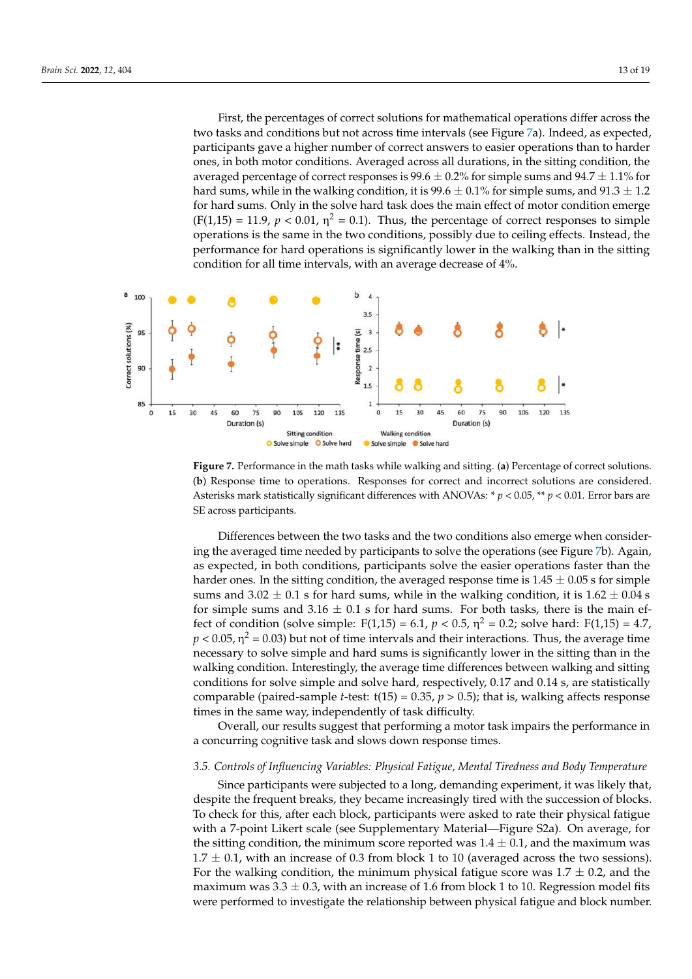First, the percentages of correct solutions for mathematical operations differ across the two tasks and conditions but not across time intervals (see Figure [7a](#page-12-0)). Indeed, as expected, participants gave a higher number of correct answers to easier operations than to harder ones, in both motor conditions. Averaged across all durations, in the sitting condition, the averaged percentage of correct responses is  $99.6 \pm 0.2\%$  for simple sums and  $94.7 \pm 1.1\%$  for hard sums, while in the walking condition, it is  $99.6 \pm 0.1\%$  for simple sums, and  $91.3 \pm 1.2$ for hard sums. Only in the solve hard task does the main effect of motor condition emerge  $(F(1,15) = 11.9, p < 0.01, \eta^2 = 0.1)$ . Thus, the percentage of correct responses to simple operations is the same in the two conditions, possibly due to ceiling effects. Instead, the performance for hard operations is significantly lower in the walking than in the sitting condition for all time intervals, with an average decrease of 4%.

<span id="page-12-0"></span>

**Figure 7.** Performance in the math tasks while walking and sitting. (**a**) Percentage of correct solutions. (**b**) Response time to operations. Responses for correct and incorrect solutions are considered. Asterisks mark statistically significant differences with ANOVAs: \* *p* < 0.05, \*\* *p* < 0.01. Error bars are SE across participants.

Differences between the two tasks and the two conditions also emerge when considering the averaged time needed by participants to solve the operations (see Figure [7b](#page-12-0)). Again, as expected, in both conditions, participants solve the easier operations faster than the harder ones. In the sitting condition, the averaged response time is  $1.45 \pm 0.05$  s for simple sums and  $3.02 \pm 0.1$  s for hard sums, while in the walking condition, it is  $1.62 \pm 0.04$  s for simple sums and  $3.16 \pm 0.1$  s for hard sums. For both tasks, there is the main effect of condition (solve simple:  $F(1,15) = 6.1$ ,  $p < 0.5$ ,  $\eta^2 = 0.2$ ; solve hard:  $F(1,15) = 4.7$ ,  $p < 0.05$ ,  $\eta^2$  = 0.03) but not of time intervals and their interactions. Thus, the average time necessary to solve simple and hard sums is significantly lower in the sitting than in the walking condition. Interestingly, the average time differences between walking and sitting conditions for solve simple and solve hard, respectively, 0.17 and 0.14 s, are statistically comparable (paired-sample *t*-test:  $t(15) = 0.35$ ,  $p > 0.5$ ); that is, walking affects response times in the same way, independently of task difficulty.

Overall, our results suggest that performing a motor task impairs the performance in a concurring cognitive task and slows down response times.

## *3.5. Controls of Influencing Variables: Physical Fatigue, Mental Tiredness and Body Temperature*

Since participants were subjected to a long, demanding experiment, it was likely that, despite the frequent breaks, they became increasingly tired with the succession of blocks. To check for this, after each block, participants were asked to rate their physical fatigue with a 7-point Likert scale (see Supplementary Material—Figure S2a). On average, for the sitting condition, the minimum score reported was  $1.4 \pm 0.1$ , and the maximum was  $1.7 \pm 0.1$ , with an increase of 0.3 from block 1 to 10 (averaged across the two sessions). For the walking condition, the minimum physical fatigue score was  $1.7 \pm 0.2$ , and the maximum was  $3.3 \pm 0.3$ , with an increase of 1.6 from block 1 to 10. Regression model fits were performed to investigate the relationship between physical fatigue and block number.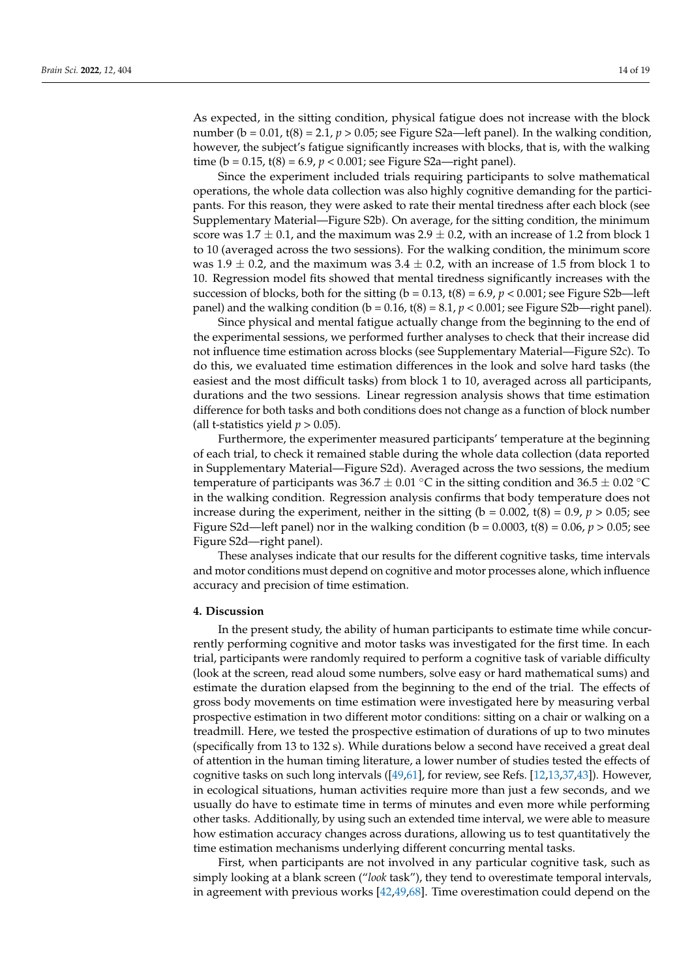As expected, in the sitting condition, physical fatigue does not increase with the block number ( $b = 0.01$ ,  $t(8) = 2.1$ ,  $p > 0.05$ ; see Figure S2a—left panel). In the walking condition, however, the subject's fatigue significantly increases with blocks, that is, with the walking time ( $b = 0.15$ ,  $t(8) = 6.9$ ,  $p < 0.001$ ; see Figure S2a—right panel).

Since the experiment included trials requiring participants to solve mathematical operations, the whole data collection was also highly cognitive demanding for the participants. For this reason, they were asked to rate their mental tiredness after each block (see Supplementary Material—Figure S2b). On average, for the sitting condition, the minimum score was  $1.7 \pm 0.1$ , and the maximum was  $2.9 \pm 0.2$ , with an increase of 1.2 from block 1 to 10 (averaged across the two sessions). For the walking condition, the minimum score was 1.9  $\pm$  0.2, and the maximum was 3.4  $\pm$  0.2, with an increase of 1.5 from block 1 to 10. Regression model fits showed that mental tiredness significantly increases with the succession of blocks, both for the sitting ( $b = 0.13$ ,  $t(8) = 6.9$ ,  $p < 0.001$ ; see Figure S2b—left panel) and the walking condition ( $b = 0.16$ ,  $t(8) = 8.1$ ,  $p < 0.001$ ; see Figure S2b—right panel).

Since physical and mental fatigue actually change from the beginning to the end of the experimental sessions, we performed further analyses to check that their increase did not influence time estimation across blocks (see Supplementary Material—Figure S2c). To do this, we evaluated time estimation differences in the look and solve hard tasks (the easiest and the most difficult tasks) from block 1 to 10, averaged across all participants, durations and the two sessions. Linear regression analysis shows that time estimation difference for both tasks and both conditions does not change as a function of block number (all t-statistics yield  $p > 0.05$ ).

Furthermore, the experimenter measured participants' temperature at the beginning of each trial, to check it remained stable during the whole data collection (data reported in Supplementary Material—Figure S2d). Averaged across the two sessions, the medium temperature of participants was  $36.7 \pm 0.01 \degree C$  in the sitting condition and  $36.5 \pm 0.02 \degree C$ in the walking condition. Regression analysis confirms that body temperature does not increase during the experiment, neither in the sitting ( $b = 0.002$ ,  $t(8) = 0.9$ ,  $p > 0.05$ ; see Figure S2d—left panel) nor in the walking condition ( $b = 0.0003$ ,  $t(8) = 0.06$ ,  $p > 0.05$ ; see Figure S2d—right panel).

These analyses indicate that our results for the different cognitive tasks, time intervals and motor conditions must depend on cognitive and motor processes alone, which influence accuracy and precision of time estimation.

## **4. Discussion**

In the present study, the ability of human participants to estimate time while concurrently performing cognitive and motor tasks was investigated for the first time. In each trial, participants were randomly required to perform a cognitive task of variable difficulty (look at the screen, read aloud some numbers, solve easy or hard mathematical sums) and estimate the duration elapsed from the beginning to the end of the trial. The effects of gross body movements on time estimation were investigated here by measuring verbal prospective estimation in two different motor conditions: sitting on a chair or walking on a treadmill. Here, we tested the prospective estimation of durations of up to two minutes (specifically from 13 to 132 s). While durations below a second have received a great deal of attention in the human timing literature, a lower number of studies tested the effects of cognitive tasks on such long intervals ([\[49](#page-17-20)[,61\]](#page-18-6), for review, see Refs. [\[12,](#page-16-7)[13,](#page-16-10)[37](#page-17-13)[,43\]](#page-17-17)). However, in ecological situations, human activities require more than just a few seconds, and we usually do have to estimate time in terms of minutes and even more while performing other tasks. Additionally, by using such an extended time interval, we were able to measure how estimation accuracy changes across durations, allowing us to test quantitatively the time estimation mechanisms underlying different concurring mental tasks.

First, when participants are not involved in any particular cognitive task, such as simply looking at a blank screen ("*look* task"), they tend to overestimate temporal intervals, in agreement with previous works [\[42,](#page-17-16)[49,](#page-17-20)[68\]](#page-18-12). Time overestimation could depend on the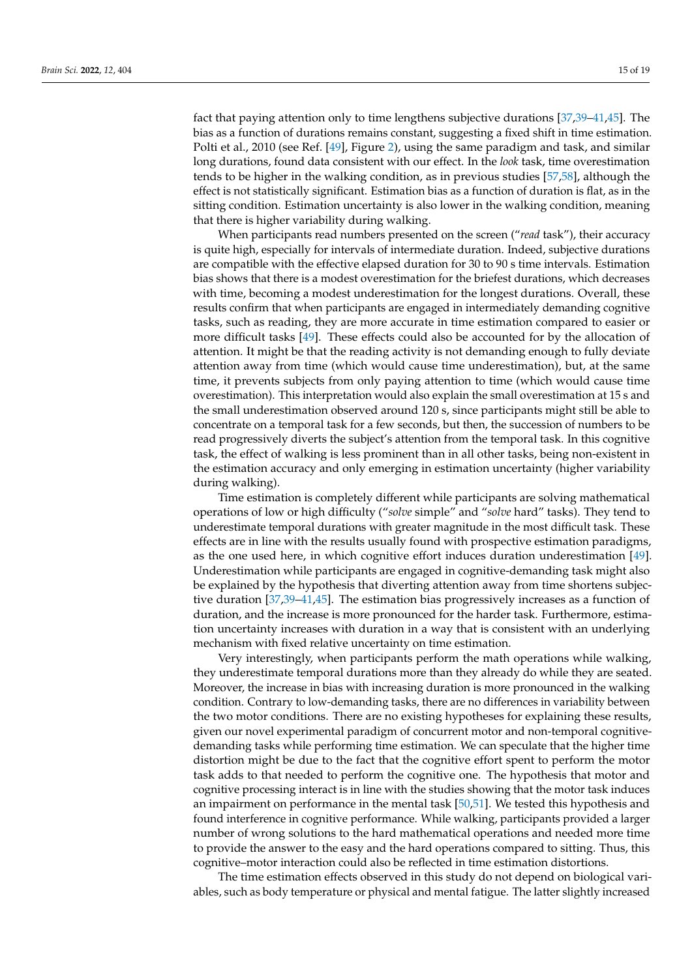fact that paying attention only to time lengthens subjective durations [\[37,](#page-17-13)[39](#page-17-15)[–41](#page-17-25)[,45\]](#page-17-26). The bias as a function of durations remains constant, suggesting a fixed shift in time estimation. Polti et al., 2010 (see Ref. [\[49\]](#page-17-20), Figure [2\)](#page-5-0), using the same paradigm and task, and similar long durations, found data consistent with our effect. In the *look* task, time overestimation tends to be higher in the walking condition, as in previous studies [\[57](#page-18-2)[,58\]](#page-18-3), although the effect is not statistically significant. Estimation bias as a function of duration is flat, as in the sitting condition. Estimation uncertainty is also lower in the walking condition, meaning that there is higher variability during walking.

When participants read numbers presented on the screen ("*read* task"), their accuracy is quite high, especially for intervals of intermediate duration. Indeed, subjective durations are compatible with the effective elapsed duration for 30 to 90 s time intervals. Estimation bias shows that there is a modest overestimation for the briefest durations, which decreases with time, becoming a modest underestimation for the longest durations. Overall, these results confirm that when participants are engaged in intermediately demanding cognitive tasks, such as reading, they are more accurate in time estimation compared to easier or more difficult tasks [\[49\]](#page-17-20). These effects could also be accounted for by the allocation of attention. It might be that the reading activity is not demanding enough to fully deviate attention away from time (which would cause time underestimation), but, at the same time, it prevents subjects from only paying attention to time (which would cause time overestimation). This interpretation would also explain the small overestimation at 15 s and the small underestimation observed around 120 s, since participants might still be able to concentrate on a temporal task for a few seconds, but then, the succession of numbers to be read progressively diverts the subject's attention from the temporal task. In this cognitive task, the effect of walking is less prominent than in all other tasks, being non-existent in the estimation accuracy and only emerging in estimation uncertainty (higher variability during walking).

Time estimation is completely different while participants are solving mathematical operations of low or high difficulty ("*solve* simple" and "*solve* hard" tasks). They tend to underestimate temporal durations with greater magnitude in the most difficult task. These effects are in line with the results usually found with prospective estimation paradigms, as the one used here, in which cognitive effort induces duration underestimation [\[49\]](#page-17-20). Underestimation while participants are engaged in cognitive-demanding task might also be explained by the hypothesis that diverting attention away from time shortens subjective duration [\[37,](#page-17-13)[39](#page-17-15)[–41,](#page-17-25)[45\]](#page-17-26). The estimation bias progressively increases as a function of duration, and the increase is more pronounced for the harder task. Furthermore, estimation uncertainty increases with duration in a way that is consistent with an underlying mechanism with fixed relative uncertainty on time estimation.

Very interestingly, when participants perform the math operations while walking, they underestimate temporal durations more than they already do while they are seated. Moreover, the increase in bias with increasing duration is more pronounced in the walking condition. Contrary to low-demanding tasks, there are no differences in variability between the two motor conditions. There are no existing hypotheses for explaining these results, given our novel experimental paradigm of concurrent motor and non-temporal cognitivedemanding tasks while performing time estimation. We can speculate that the higher time distortion might be due to the fact that the cognitive effort spent to perform the motor task adds to that needed to perform the cognitive one. The hypothesis that motor and cognitive processing interact is in line with the studies showing that the motor task induces an impairment on performance in the mental task [\[50,](#page-17-21)[51\]](#page-17-22). We tested this hypothesis and found interference in cognitive performance. While walking, participants provided a larger number of wrong solutions to the hard mathematical operations and needed more time to provide the answer to the easy and the hard operations compared to sitting. Thus, this cognitive–motor interaction could also be reflected in time estimation distortions.

The time estimation effects observed in this study do not depend on biological variables, such as body temperature or physical and mental fatigue. The latter slightly increased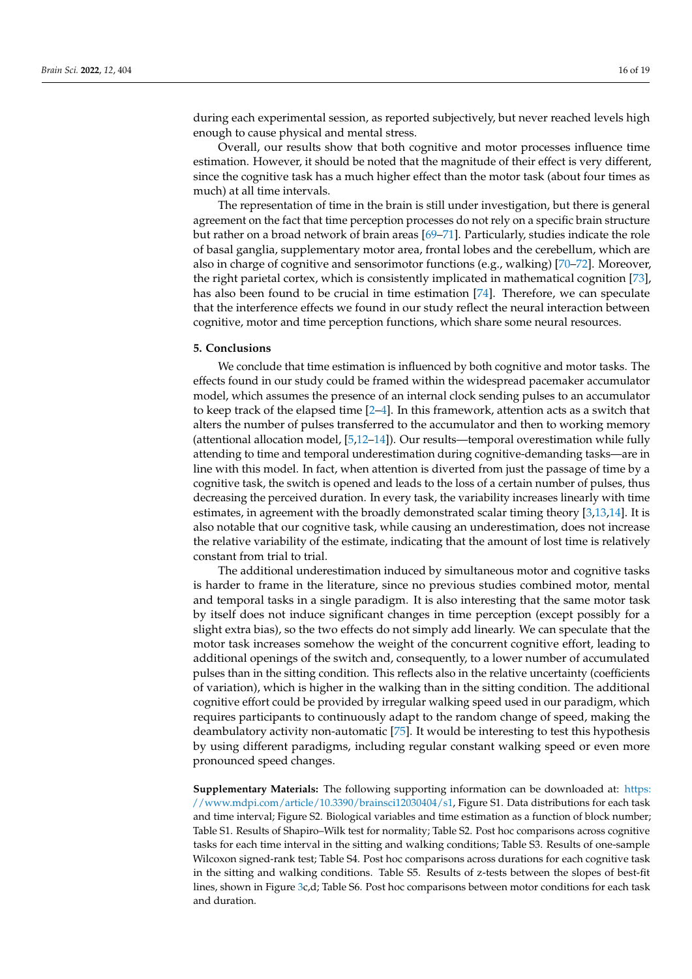during each experimental session, as reported subjectively, but never reached levels high enough to cause physical and mental stress.

Overall, our results show that both cognitive and motor processes influence time estimation. However, it should be noted that the magnitude of their effect is very different, since the cognitive task has a much higher effect than the motor task (about four times as much) at all time intervals.

The representation of time in the brain is still under investigation, but there is general agreement on the fact that time perception processes do not rely on a specific brain structure but rather on a broad network of brain areas [\[69–](#page-18-13)[71\]](#page-18-14). Particularly, studies indicate the role of basal ganglia, supplementary motor area, frontal lobes and the cerebellum, which are also in charge of cognitive and sensorimotor functions (e.g., walking) [\[70–](#page-18-15)[72\]](#page-18-16). Moreover, the right parietal cortex, which is consistently implicated in mathematical cognition [\[73\]](#page-18-17), has also been found to be crucial in time estimation [\[74\]](#page-18-18). Therefore, we can speculate that the interference effects we found in our study reflect the neural interaction between cognitive, motor and time perception functions, which share some neural resources.

# **5. Conclusions**

We conclude that time estimation is influenced by both cognitive and motor tasks. The effects found in our study could be framed within the widespread pacemaker accumulator model, which assumes the presence of an internal clock sending pulses to an accumulator to keep track of the elapsed time [\[2–](#page-16-1)[4\]](#page-16-17). In this framework, attention acts as a switch that alters the number of pulses transferred to the accumulator and then to working memory (attentional allocation model, [\[5](#page-16-2)[,12–](#page-16-7)[14\]](#page-16-8)). Our results—temporal overestimation while fully attending to time and temporal underestimation during cognitive-demanding tasks—are in line with this model. In fact, when attention is diverted from just the passage of time by a cognitive task, the switch is opened and leads to the loss of a certain number of pulses, thus decreasing the perceived duration. In every task, the variability increases linearly with time estimates, in agreement with the broadly demonstrated scalar timing theory [\[3](#page-16-9)[,13](#page-16-10)[,14\]](#page-16-8). It is also notable that our cognitive task, while causing an underestimation, does not increase the relative variability of the estimate, indicating that the amount of lost time is relatively constant from trial to trial.

The additional underestimation induced by simultaneous motor and cognitive tasks is harder to frame in the literature, since no previous studies combined motor, mental and temporal tasks in a single paradigm. It is also interesting that the same motor task by itself does not induce significant changes in time perception (except possibly for a slight extra bias), so the two effects do not simply add linearly. We can speculate that the motor task increases somehow the weight of the concurrent cognitive effort, leading to additional openings of the switch and, consequently, to a lower number of accumulated pulses than in the sitting condition. This reflects also in the relative uncertainty (coefficients of variation), which is higher in the walking than in the sitting condition. The additional cognitive effort could be provided by irregular walking speed used in our paradigm, which requires participants to continuously adapt to the random change of speed, making the deambulatory activity non-automatic [\[75\]](#page-18-19). It would be interesting to test this hypothesis by using different paradigms, including regular constant walking speed or even more pronounced speed changes.

**Supplementary Materials:** The following supporting information can be downloaded at: [https:](https://www.mdpi.com/article/10.3390/brainsci12030404/s1) [//www.mdpi.com/article/10.3390/brainsci12030404/s1,](https://www.mdpi.com/article/10.3390/brainsci12030404/s1) Figure S1. Data distributions for each task and time interval; Figure S2. Biological variables and time estimation as a function of block number; Table S1. Results of Shapiro–Wilk test for normality; Table S2. Post hoc comparisons across cognitive tasks for each time interval in the sitting and walking conditions; Table S3. Results of one-sample Wilcoxon signed-rank test; Table S4. Post hoc comparisons across durations for each cognitive task in the sitting and walking conditions. Table S5. Results of z-tests between the slopes of best-fit lines, shown in Figure [3c](#page-8-0),d; Table S6. Post hoc comparisons between motor conditions for each task and duration.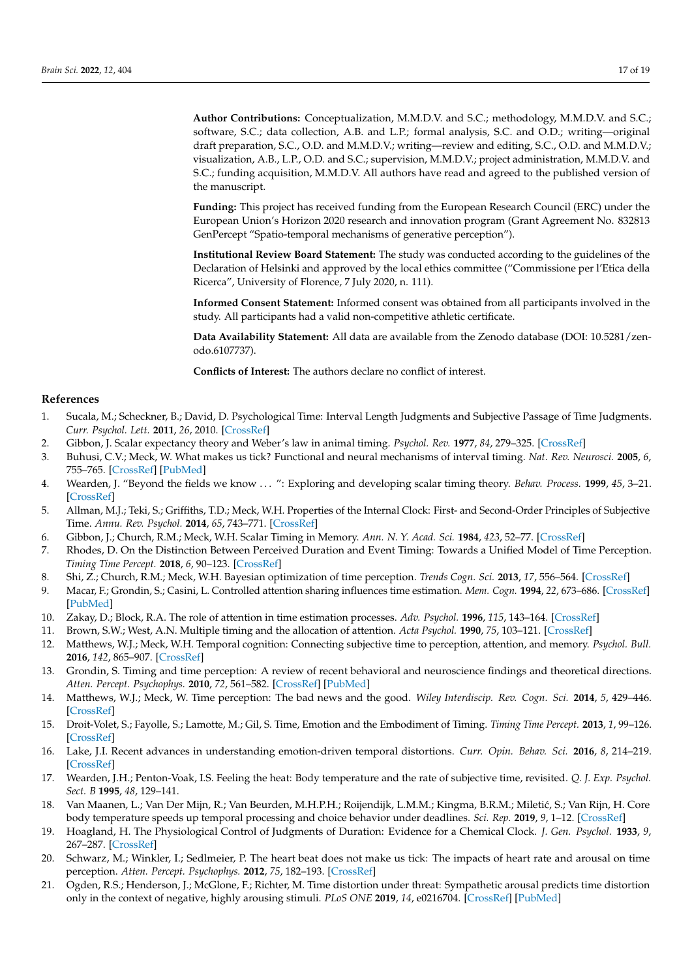**Author Contributions:** Conceptualization, M.M.D.V. and S.C.; methodology, M.M.D.V. and S.C.; software, S.C.; data collection, A.B. and L.P.; formal analysis, S.C. and O.D.; writing—original draft preparation, S.C., O.D. and M.M.D.V.; writing—review and editing, S.C., O.D. and M.M.D.V.; visualization, A.B., L.P., O.D. and S.C.; supervision, M.M.D.V.; project administration, M.M.D.V. and S.C.; funding acquisition, M.M.D.V. All authors have read and agreed to the published version of the manuscript.

**Funding:** This project has received funding from the European Research Council (ERC) under the European Union's Horizon 2020 research and innovation program (Grant Agreement No. 832813 GenPercept "Spatio-temporal mechanisms of generative perception").

**Institutional Review Board Statement:** The study was conducted according to the guidelines of the Declaration of Helsinki and approved by the local ethics committee ("Commissione per l'Etica della Ricerca", University of Florence, 7 July 2020, n. 111).

**Informed Consent Statement:** Informed consent was obtained from all participants involved in the study. All participants had a valid non-competitive athletic certificate.

**Data Availability Statement:** All data are available from the Zenodo database (DOI: 10.5281/zenodo.6107737).

**Conflicts of Interest:** The authors declare no conflict of interest.

## **References**

- <span id="page-16-0"></span>1. Sucala, M.; Scheckner, B.; David, D. Psychological Time: Interval Length Judgments and Subjective Passage of Time Judgments. *Curr. Psychol. Lett.* **2011**, *26*, 2010. [\[CrossRef\]](http://doi.org/10.4000/cpl.4998)
- <span id="page-16-1"></span>2. Gibbon, J. Scalar expectancy theory and Weber's law in animal timing. *Psychol. Rev.* **1977**, *84*, 279–325. [\[CrossRef\]](http://doi.org/10.1037/0033-295X.84.3.279)
- <span id="page-16-9"></span>3. Buhusi, C.V.; Meck, W. What makes us tick? Functional and neural mechanisms of interval timing. *Nat. Rev. Neurosci.* **2005**, *6*, 755–765. [\[CrossRef\]](http://doi.org/10.1038/nrn1764) [\[PubMed\]](http://www.ncbi.nlm.nih.gov/pubmed/16163383)
- <span id="page-16-17"></span>4. Wearden, J. "Beyond the fields we know . . . ": Exploring and developing scalar timing theory. *Behav. Process.* **1999**, *45*, 3–21. [\[CrossRef\]](http://doi.org/10.1016/S0376-6357(99)00006-6)
- <span id="page-16-2"></span>5. Allman, M.J.; Teki, S.; Griffiths, T.D.; Meck, W.H. Properties of the Internal Clock: First- and Second-Order Principles of Subjective Time. *Annu. Rev. Psychol.* **2014**, *65*, 743–771. [\[CrossRef\]](http://doi.org/10.1146/annurev-psych-010213-115117)
- <span id="page-16-3"></span>6. Gibbon, J.; Church, R.M.; Meck, W.H. Scalar Timing in Memory. *Ann. N. Y. Acad. Sci.* **1984**, *423*, 52–77. [\[CrossRef\]](http://doi.org/10.1111/j.1749-6632.1984.tb23417.x)
- 7. Rhodes, D. On the Distinction Between Perceived Duration and Event Timing: Towards a Unified Model of Time Perception. *Timing Time Percept.* **2018**, *6*, 90–123. [\[CrossRef\]](http://doi.org/10.1163/22134468-20181132)
- <span id="page-16-4"></span>8. Shi, Z.; Church, R.M.; Meck, W.H. Bayesian optimization of time perception. *Trends Cogn. Sci.* **2013**, *17*, 556–564. [\[CrossRef\]](http://doi.org/10.1016/j.tics.2013.09.009)
- <span id="page-16-5"></span>9. Macar, F.; Grondin, S.; Casini, L. Controlled attention sharing influences time estimation. *Mem. Cogn.* **1994**, *22*, 673–686. [\[CrossRef\]](http://doi.org/10.3758/BF03209252) [\[PubMed\]](http://www.ncbi.nlm.nih.gov/pubmed/7808276)
- 10. Zakay, D.; Block, R.A. The role of attention in time estimation processes. *Adv. Psychol.* **1996**, *115*, 143–164. [\[CrossRef\]](http://doi.org/10.1016/s0166-4115(96)80057-4)
- <span id="page-16-6"></span>11. Brown, S.W.; West, A.N. Multiple timing and the allocation of attention. *Acta Psychol.* **1990**, *75*, 103–121. [\[CrossRef\]](http://doi.org/10.1016/0001-6918(90)90081-P)
- <span id="page-16-7"></span>12. Matthews, W.J.; Meck, W.H. Temporal cognition: Connecting subjective time to perception, attention, and memory. *Psychol. Bull.* **2016**, *142*, 865–907. [\[CrossRef\]](http://doi.org/10.1037/bul0000045)
- <span id="page-16-10"></span>13. Grondin, S. Timing and time perception: A review of recent behavioral and neuroscience findings and theoretical directions. *Atten. Percept. Psychophys.* **2010**, *72*, 561–582. [\[CrossRef\]](http://doi.org/10.3758/APP.72.3.561) [\[PubMed\]](http://www.ncbi.nlm.nih.gov/pubmed/20348562)
- <span id="page-16-8"></span>14. Matthews, W.J.; Meck, W. Time perception: The bad news and the good. *Wiley Interdiscip. Rev. Cogn. Sci.* **2014**, *5*, 429–446. [\[CrossRef\]](http://doi.org/10.1002/wcs.1298)
- <span id="page-16-11"></span>15. Droit-Volet, S.; Fayolle, S.; Lamotte, M.; Gil, S. Time, Emotion and the Embodiment of Timing. *Timing Time Percept.* **2013**, *1*, 99–126. [\[CrossRef\]](http://doi.org/10.1163/22134468-00002004)
- 16. Lake, J.I. Recent advances in understanding emotion-driven temporal distortions. *Curr. Opin. Behav. Sci.* **2016**, *8*, 214–219. [\[CrossRef\]](http://doi.org/10.1016/j.cobeha.2016.02.009)
- <span id="page-16-12"></span>17. Wearden, J.H.; Penton-Voak, I.S. Feeling the heat: Body temperature and the rate of subjective time, revisited. *Q. J. Exp. Psychol. Sect. B* **1995**, *48*, 129–141.
- <span id="page-16-13"></span>18. Van Maanen, L.; Van Der Mijn, R.; Van Beurden, M.H.P.H.; Roijendijk, L.M.M.; Kingma, B.R.M.; Miletić, S.; Van Rijn, H. Core body temperature speeds up temporal processing and choice behavior under deadlines. *Sci. Rep.* **2019**, *9*, 1–12. [\[CrossRef\]](http://doi.org/10.1038/s41598-019-46073-3)
- <span id="page-16-14"></span>19. Hoagland, H. The Physiological Control of Judgments of Duration: Evidence for a Chemical Clock. *J. Gen. Psychol.* **1933**, *9*, 267–287. [\[CrossRef\]](http://doi.org/10.1080/00221309.1933.9920937)
- <span id="page-16-15"></span>20. Schwarz, M.; Winkler, I.; Sedlmeier, P. The heart beat does not make us tick: The impacts of heart rate and arousal on time perception. *Atten. Percept. Psychophys.* **2012**, *75*, 182–193. [\[CrossRef\]](http://doi.org/10.3758/s13414-012-0387-8)
- <span id="page-16-16"></span>21. Ogden, R.S.; Henderson, J.; McGlone, F.; Richter, M. Time distortion under threat: Sympathetic arousal predicts time distortion only in the context of negative, highly arousing stimuli. *PLoS ONE* **2019**, *14*, e0216704. [\[CrossRef\]](http://doi.org/10.1371/journal.pone.0216704) [\[PubMed\]](http://www.ncbi.nlm.nih.gov/pubmed/31083698)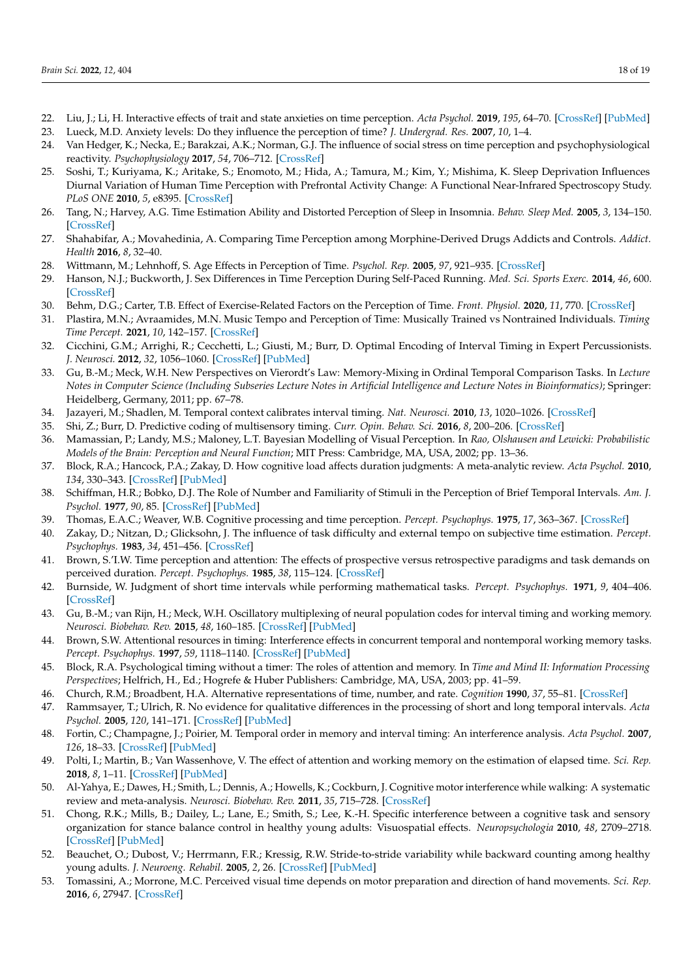- <span id="page-17-0"></span>22. Liu, J.; Li, H. Interactive effects of trait and state anxieties on time perception. *Acta Psychol.* **2019**, *195*, 64–70. [\[CrossRef\]](http://doi.org/10.1016/j.actpsy.2019.03.004) [\[PubMed\]](http://www.ncbi.nlm.nih.gov/pubmed/30884387)
- 23. Lueck, M.D. Anxiety levels: Do they influence the perception of time? *J. Undergrad. Res.* **2007**, *10*, 1–4.
- <span id="page-17-1"></span>24. Van Hedger, K.; Necka, E.; Barakzai, A.K.; Norman, G.J. The influence of social stress on time perception and psychophysiological reactivity. *Psychophysiology* **2017**, *54*, 706–712. [\[CrossRef\]](http://doi.org/10.1111/psyp.12836)
- <span id="page-17-2"></span>25. Soshi, T.; Kuriyama, K.; Aritake, S.; Enomoto, M.; Hida, A.; Tamura, M.; Kim, Y.; Mishima, K. Sleep Deprivation Influences Diurnal Variation of Human Time Perception with Prefrontal Activity Change: A Functional Near-Infrared Spectroscopy Study. *PLoS ONE* **2010**, *5*, e8395. [\[CrossRef\]](http://doi.org/10.1371/journal.pone.0008395)
- <span id="page-17-3"></span>26. Tang, N.; Harvey, A.G. Time Estimation Ability and Distorted Perception of Sleep in Insomnia. *Behav. Sleep Med.* **2005**, *3*, 134–150. [\[CrossRef\]](http://doi.org/10.1207/s15402010bsm0303_2)
- <span id="page-17-4"></span>27. Shahabifar, A.; Movahedinia, A. Comparing Time Perception among Morphine-Derived Drugs Addicts and Controls. *Addict. Health* **2016**, *8*, 32–40.
- <span id="page-17-5"></span>28. Wittmann, M.; Lehnhoff, S. Age Effects in Perception of Time. *Psychol. Rep.* **2005**, *97*, 921–935. [\[CrossRef\]](http://doi.org/10.2466/pr0.97.3.921-935)
- <span id="page-17-6"></span>29. Hanson, N.J.; Buckworth, J. Sex Differences in Time Perception During Self-Paced Running. *Med. Sci. Sports Exerc.* **2014**, *46*, 600. [\[CrossRef\]](http://doi.org/10.1249/01.mss.0000495273.21843.8f)
- <span id="page-17-7"></span>30. Behm, D.G.; Carter, T.B. Effect of Exercise-Related Factors on the Perception of Time. *Front. Physiol.* **2020**, *11*, 770. [\[CrossRef\]](http://doi.org/10.3389/fphys.2020.00770)
- <span id="page-17-8"></span>31. Plastira, M.N.; Avraamides, M.N. Music Tempo and Perception of Time: Musically Trained vs Nontrained Individuals. *Timing Time Percept.* **2021**, *10*, 142–157. [\[CrossRef\]](http://doi.org/10.1163/22134468-bja10042)
- <span id="page-17-9"></span>32. Cicchini, G.M.; Arrighi, R.; Cecchetti, L.; Giusti, M.; Burr, D. Optimal Encoding of Interval Timing in Expert Percussionists. *J. Neurosci.* **2012**, *32*, 1056–1060. [\[CrossRef\]](http://doi.org/10.1523/JNEUROSCI.3411-11.2012) [\[PubMed\]](http://www.ncbi.nlm.nih.gov/pubmed/22262903)
- <span id="page-17-10"></span>33. Gu, B.-M.; Meck, W.H. New Perspectives on Vierordt's Law: Memory-Mixing in Ordinal Temporal Comparison Tasks. In *Lecture Notes in Computer Science (Including Subseries Lecture Notes in Artificial Intelligence and Lecture Notes in Bioinformatics)*; Springer: Heidelberg, Germany, 2011; pp. 67–78.
- <span id="page-17-11"></span>34. Jazayeri, M.; Shadlen, M. Temporal context calibrates interval timing. *Nat. Neurosci.* **2010**, *13*, 1020–1026. [\[CrossRef\]](http://doi.org/10.1038/nn.2590)
- 35. Shi, Z.; Burr, D. Predictive coding of multisensory timing. *Curr. Opin. Behav. Sci.* **2016**, *8*, 200–206. [\[CrossRef\]](http://doi.org/10.1016/j.cobeha.2016.02.014)
- <span id="page-17-12"></span>36. Mamassian, P.; Landy, M.S.; Maloney, L.T. Bayesian Modelling of Visual Perception. In *Rao, Olshausen and Lewicki: Probabilistic Models of the Brain: Perception and Neural Function*; MIT Press: Cambridge, MA, USA, 2002; pp. 13–36.
- <span id="page-17-13"></span>37. Block, R.A.; Hancock, P.A.; Zakay, D. How cognitive load affects duration judgments: A meta-analytic review. *Acta Psychol.* **2010**, *134*, 330–343. [\[CrossRef\]](http://doi.org/10.1016/j.actpsy.2010.03.006) [\[PubMed\]](http://www.ncbi.nlm.nih.gov/pubmed/20403583)
- <span id="page-17-14"></span>38. Schiffman, H.R.; Bobko, D.J. The Role of Number and Familiarity of Stimuli in the Perception of Brief Temporal Intervals. *Am. J. Psychol.* **1977**, *90*, 85. [\[CrossRef\]](http://doi.org/10.2307/1421643) [\[PubMed\]](http://www.ncbi.nlm.nih.gov/pubmed/871180)
- <span id="page-17-15"></span>39. Thomas, E.A.C.; Weaver, W.B. Cognitive processing and time perception. *Percept. Psychophys.* **1975**, *17*, 363–367. [\[CrossRef\]](http://doi.org/10.3758/BF03199347)
- 40. Zakay, D.; Nitzan, D.; Glicksohn, J. The influence of task difficulty and external tempo on subjective time estimation. *Percept. Psychophys.* **1983**, *34*, 451–456. [\[CrossRef\]](http://doi.org/10.3758/BF03203060)
- <span id="page-17-25"></span>41. Brown, S.'I.W. Time perception and attention: The effects of prospective versus retrospective paradigms and task demands on perceived duration. *Percept. Psychophys.* **1985**, *38*, 115–124. [\[CrossRef\]](http://doi.org/10.3758/BF03198848)
- <span id="page-17-16"></span>42. Burnside, W. Judgment of short time intervals while performing mathematical tasks. *Percept. Psychophys.* **1971**, *9*, 404–406. [\[CrossRef\]](http://doi.org/10.3758/BF03210238)
- <span id="page-17-17"></span>43. Gu, B.-M.; van Rijn, H.; Meck, W.H. Oscillatory multiplexing of neural population codes for interval timing and working memory. *Neurosci. Biobehav. Rev.* **2015**, *48*, 160–185. [\[CrossRef\]](http://doi.org/10.1016/j.neubiorev.2014.10.008) [\[PubMed\]](http://www.ncbi.nlm.nih.gov/pubmed/25454354)
- <span id="page-17-18"></span>44. Brown, S.W. Attentional resources in timing: Interference effects in concurrent temporal and nontemporal working memory tasks. *Percept. Psychophys.* **1997**, *59*, 1118–1140. [\[CrossRef\]](http://doi.org/10.3758/BF03205526) [\[PubMed\]](http://www.ncbi.nlm.nih.gov/pubmed/9360484)
- <span id="page-17-26"></span>45. Block, R.A. Psychological timing without a timer: The roles of attention and memory. In *Time and Mind II: Information Processing Perspectives*; Helfrich, H., Ed.; Hogrefe & Huber Publishers: Cambridge, MA, USA, 2003; pp. 41–59.
- 46. Church, R.M.; Broadbent, H.A. Alternative representations of time, number, and rate. *Cognition* **1990**, *37*, 55–81. [\[CrossRef\]](http://doi.org/10.1016/0010-0277(90)90018-F)
- 47. Rammsayer, T.; Ulrich, R. No evidence for qualitative differences in the processing of short and long temporal intervals. *Acta Psychol.* **2005**, *120*, 141–171. [\[CrossRef\]](http://doi.org/10.1016/j.actpsy.2005.03.005) [\[PubMed\]](http://www.ncbi.nlm.nih.gov/pubmed/15907778)
- <span id="page-17-19"></span>48. Fortin, C.; Champagne, J.; Poirier, M. Temporal order in memory and interval timing: An interference analysis. *Acta Psychol.* **2007**, *126*, 18–33. [\[CrossRef\]](http://doi.org/10.1016/j.actpsy.2006.10.002) [\[PubMed\]](http://www.ncbi.nlm.nih.gov/pubmed/17123455)
- <span id="page-17-20"></span>49. Polti, I.; Martin, B.; Van Wassenhove, V. The effect of attention and working memory on the estimation of elapsed time. *Sci. Rep.* **2018**, *8*, 1–11. [\[CrossRef\]](http://doi.org/10.1038/s41598-018-25119-y) [\[PubMed\]](http://www.ncbi.nlm.nih.gov/pubmed/29703928)
- <span id="page-17-21"></span>50. Al-Yahya, E.; Dawes, H.; Smith, L.; Dennis, A.; Howells, K.; Cockburn, J. Cognitive motor interference while walking: A systematic review and meta-analysis. *Neurosci. Biobehav. Rev.* **2011**, *35*, 715–728. [\[CrossRef\]](http://doi.org/10.1016/j.neubiorev.2010.08.008)
- <span id="page-17-22"></span>51. Chong, R.K.; Mills, B.; Dailey, L.; Lane, E.; Smith, S.; Lee, K.-H. Specific interference between a cognitive task and sensory organization for stance balance control in healthy young adults: Visuospatial effects. *Neuropsychologia* **2010**, *48*, 2709–2718. [\[CrossRef\]](http://doi.org/10.1016/j.neuropsychologia.2010.05.018) [\[PubMed\]](http://www.ncbi.nlm.nih.gov/pubmed/20478320)
- <span id="page-17-23"></span>52. Beauchet, O.; Dubost, V.; Herrmann, F.R.; Kressig, R.W. Stride-to-stride variability while backward counting among healthy young adults. *J. Neuroeng. Rehabil.* **2005**, *2*, 26. [\[CrossRef\]](http://doi.org/10.1186/1743-0003-2-26) [\[PubMed\]](http://www.ncbi.nlm.nih.gov/pubmed/16095533)
- <span id="page-17-24"></span>53. Tomassini, A.; Morrone, M.C. Perceived visual time depends on motor preparation and direction of hand movements. *Sci. Rep.* **2016**, *6*, 27947. [\[CrossRef\]](http://doi.org/10.1038/srep27947)